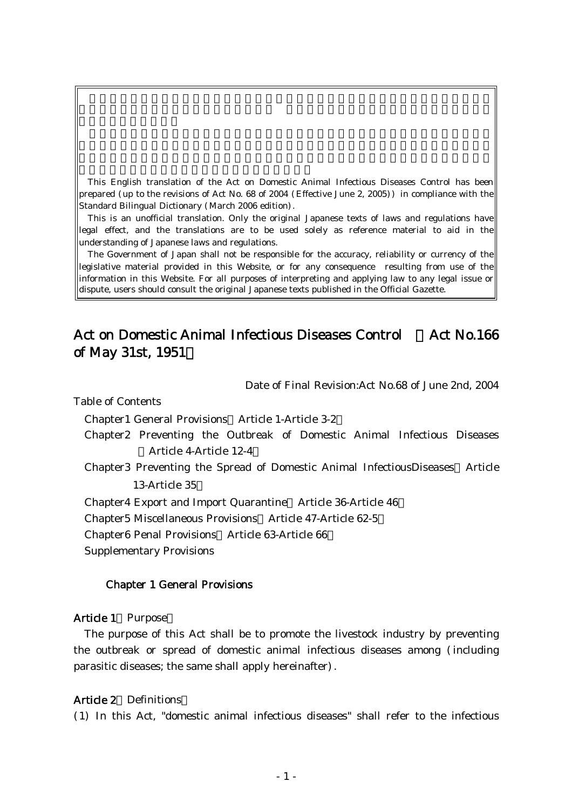This English translation of the Act on Domestic Animal Infectious Diseases Control has been prepared (up to the revisions of Act No. 68 of 2004 (Effective June 2, 2005)) in compliance with the Standard Bilingual Dictionary (March 2006 edition).

This is an unofficial translation. Only the original Japanese texts of laws and regulations have legal effect, and the translations are to be used solely as reference material to aid in the understanding of Japanese laws and regulations.

The Government of Japan shall not be responsible for the accuracy, reliability or currency of the legislative material provided in this Website, or for any consequence resulting from use of the information in this Website. For all purposes of interpreting and applying law to any legal issue or dispute, users should consult the original Japanese texts published in the Official Gazette.

# Act on Domestic Animal Infectious Diseases Control Act No.166 of May 31st, 1951)

Date of Final Revision:Act No.68 of June 2nd, 2004

Table of Contents

Chapter1 General Provisions Article 1-Article 3-2 ( )

- Chapter2 Preventing the Outbreak of Domestic Animal Infectious Diseases ( ) Article 4-Article 12-4
- Chapter3 Preventing the Spread of Domestic Animal InfectiousDiseases Article 13-Article 35

Chapter4 Export and Import Quarantine Article 36-Article 46

Chapter5 Miscellaneous Provisions Article 47-Article 62-5 ( )

Chapter6 Penal Provisions Article 63-Article 66

Supplementary Provisions

#### Chapter 1 General Provisions

#### Article 1 Purpose

The purpose of this Act shall be to promote the livestock industry by preventing the outbreak or spread of domestic animal infectious diseases among (including parasitic diseases; the same shall apply hereinafter).

### Article 2 Definitions

( )1 In this Act, "domestic animal infectious diseases" shall refer to the infectious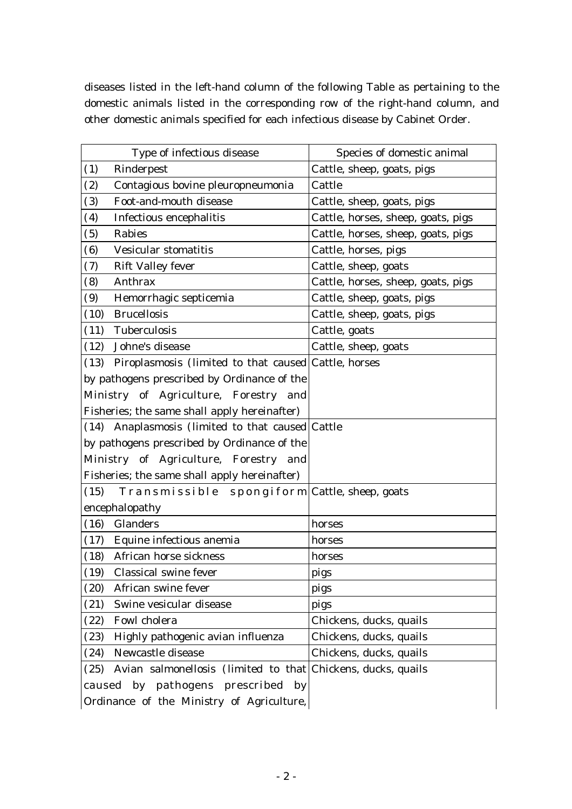diseases listed in the left-hand column of the following Table as pertaining to the domestic animals listed in the corresponding row of the right-hand column, and other domestic animals specified for each infectious disease by Cabinet Order.

| Type of infectious disease                                           | Species of domestic animal         |
|----------------------------------------------------------------------|------------------------------------|
| (1)<br>Rinderpest                                                    | Cattle, sheep, goats, pigs         |
| Contagious bovine pleuropneumonia<br>(2)                             | Cattle                             |
| Foot-and-mouth disease<br>(3)                                        | Cattle, sheep, goats, pigs         |
| (4)<br>Infectious encephalitis                                       | Cattle, horses, sheep, goats, pigs |
| Rabies<br>(5)                                                        | Cattle, horses, sheep, goats, pigs |
| Vesicular stomatitis<br>(6)                                          | Cattle, horses, pigs               |
| <b>Rift Valley fever</b><br>(7)                                      | Cattle, sheep, goats               |
| Anthrax<br>(8)                                                       | Cattle, horses, sheep, goats, pigs |
| Hemorrhagic septicemia<br>(9)                                        | Cattle, sheep, goats, pigs         |
| <b>Brucellosis</b><br>(10)                                           | Cattle, sheep, goats, pigs         |
| Tuberculosis<br>(11)                                                 | Cattle, goats                      |
| Johne's disease<br>(12)                                              | Cattle, sheep, goats               |
| (13) Piroplasmosis (limited to that caused Cattle, horses            |                                    |
| by pathogens prescribed by Ordinance of the                          |                                    |
| Ministry of Agriculture, Forestry and                                |                                    |
| Fisheries; the same shall apply hereinafter)                         |                                    |
| (14) Anaplasmosis (limited to that caused Cattle                     |                                    |
| by pathogens prescribed by Ordinance of the                          |                                    |
| Ministry of Agriculture, Forestry and                                |                                    |
| Fisheries; the same shall apply hereinafter)                         |                                    |
| (15)<br>Transmissible spongiform Cattle, sheep, goats                |                                    |
| encephalopathy                                                       |                                    |
| Glanders<br>(16)                                                     | horses                             |
| Equine infectious anemia<br>(17)                                     | horses                             |
| African horse sickness<br>(18)                                       | horses                             |
| (19)<br>Classical swine fever                                        | pigs                               |
| African swine fever<br>(20)                                          | pigs                               |
| Swine vesicular disease<br>(21)                                      | pigs                               |
| Fowl cholera<br>(22)                                                 | Chickens, ducks, quails            |
| Highly pathogenic avian influenza<br>(23)                            | Chickens, ducks, quails            |
| Newcastle disease<br>(24)                                            | Chickens, ducks, quails            |
| Avian salmonellosis (limited to that Chickens, ducks, quails<br>(25) |                                    |
| caused by pathogens prescribed by                                    |                                    |
| Ordinance of the Ministry of Agriculture,                            |                                    |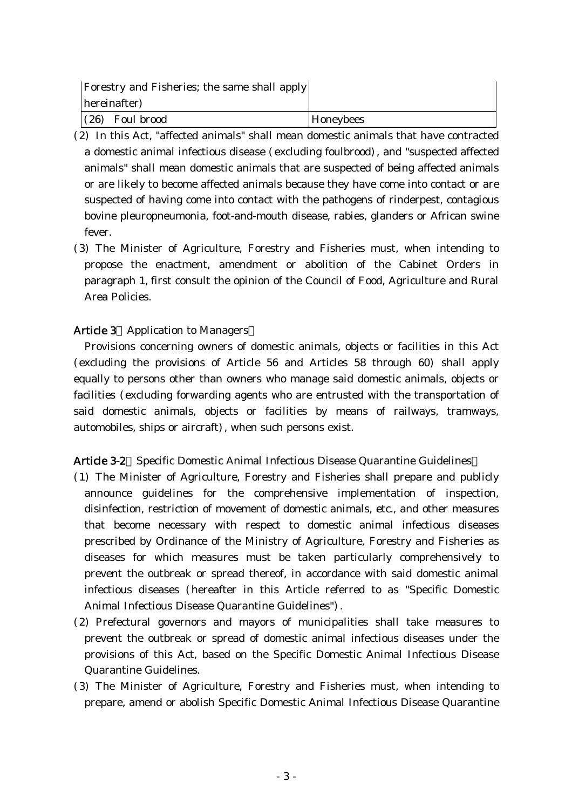| <b>Forestry and Fisheries</b> ; the same shall apply |           |
|------------------------------------------------------|-----------|
| hereinafter)                                         |           |
| $(26)$ Foul brood                                    | Honeybees |

- (2) In this Act, "affected animals" shall mean domestic animals that have contracted a domestic animal infectious disease (excluding foulbrood), and "suspected affected animals" shall mean domestic animals that are suspected of being affected animals or are likely to become affected animals because they have come into contact or are suspected of having come into contact with the pathogens of rinderpest, contagious bovine pleuropneumonia, foot-and-mouth disease, rabies, glanders or African swine fever.
- (3) The Minister of Agriculture, Forestry and Fisheries must, when intending to propose the enactment, amendment or abolition of the Cabinet Orders in paragraph 1, first consult the opinion of the Council of Food, Agriculture and Rural Area Policies.

## Article 3 Application to Managers

Provisions concerning owners of domestic animals, objects or facilities in this Act (excluding the provisions of Article 56 and Articles 58 through 60 shall apply ) equally to persons other than owners who manage said domestic animals, objects or facilities (excluding forwarding agents who are entrusted with the transportation of said domestic animals, objects or facilities by means of railways, tramways, automobiles, ships or aircraft), when such persons exist.

## Article 3-2 Specific Domestic Animal Infectious Disease Quarantine Guidelines

- ( )1 The Minister of Agriculture, Forestry and Fisheries shall prepare and publicly announce guidelines for the comprehensive implementation of inspection, disinfection, restriction of movement of domestic animals, etc., and other measures that become necessary with respect to domestic animal infectious diseases prescribed by Ordinance of the Ministry of Agriculture, Forestry and Fisheries as diseases for which measures must be taken particularly comprehensively to prevent the outbreak or spread thereof, in accordance with said domestic animal infectious diseases (hereafter in this Article referred to as "Specific Domestic Animal Infectious Disease Quarantine Guidelines").
- (2) Prefectural governors and mayors of municipalities shall take measures to prevent the outbreak or spread of domestic animal infectious diseases under the provisions of this Act, based on the Specific Domestic Animal Infectious Disease Quarantine Guidelines.
- ( )3 The Minister of Agriculture, Forestry and Fisheries must, when intending to prepare, amend or abolish Specific Domestic Animal Infectious Disease Quarantine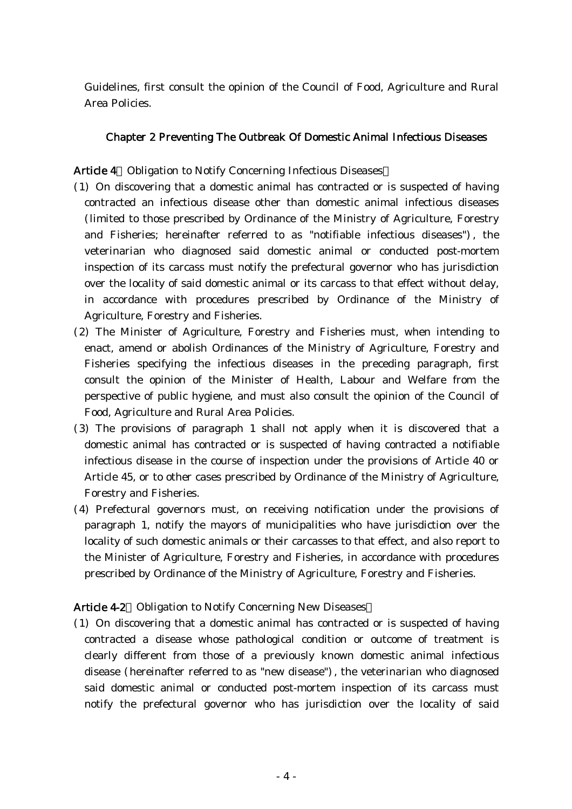Guidelines, first consult the opinion of the Council of Food, Agriculture and Rural Area Policies.

## Chapter 2 Preventing The Outbreak Of Domestic Animal Infectious Diseases

Article 4 Obligation to Notify Concerning Infectious Diseases

- ( )1 On discovering that a domestic animal has contracted or is suspected of having contracted an infectious disease other than domestic animal infectious diseases (limited to those prescribed by Ordinance of the Ministry of Agriculture, Forestry and Fisheries; hereinafter referred to as "notifiable infectious diseases"), the veterinarian who diagnosed said domestic animal or conducted post-mortem inspection of its carcass must notify the prefectural governor who has jurisdiction over the locality of said domestic animal or its carcass to that effect without delay, in accordance with procedures prescribed by Ordinance of the Ministry of Agriculture, Forestry and Fisheries.
- (2) The Minister of Agriculture, Forestry and Fisheries must, when intending to enact, amend or abolish Ordinances of the Ministry of Agriculture, Forestry and Fisheries specifying the infectious diseases in the preceding paragraph, first consult the opinion of the Minister of Health, Labour and Welfare from the perspective of public hygiene, and must also consult the opinion of the Council of Food, Agriculture and Rural Area Policies.
- (3) The provisions of paragraph 1 shall not apply when it is discovered that a domestic animal has contracted or is suspected of having contracted a notifiable infectious disease in the course of inspection under the provisions of Article 40 or Article 45, or to other cases prescribed by Ordinance of the Ministry of Agriculture, Forestry and Fisheries.
- (4) Prefectural governors must, on receiving notification under the provisions of paragraph 1, notify the mayors of municipalities who have jurisdiction over the locality of such domestic animals or their carcasses to that effect, and also report to the Minister of Agriculture, Forestry and Fisheries, in accordance with procedures prescribed by Ordinance of the Ministry of Agriculture, Forestry and Fisheries.

## Article 4-2 Obligation to Notify Concerning New Diseases

( )1 On discovering that a domestic animal has contracted or is suspected of having contracted a disease whose pathological condition or outcome of treatment is clearly different from those of a previously known domestic animal infectious disease (hereinafter referred to as "new disease"), the veterinarian who diagnosed said domestic animal or conducted post-mortem inspection of its carcass must notify the prefectural governor who has jurisdiction over the locality of said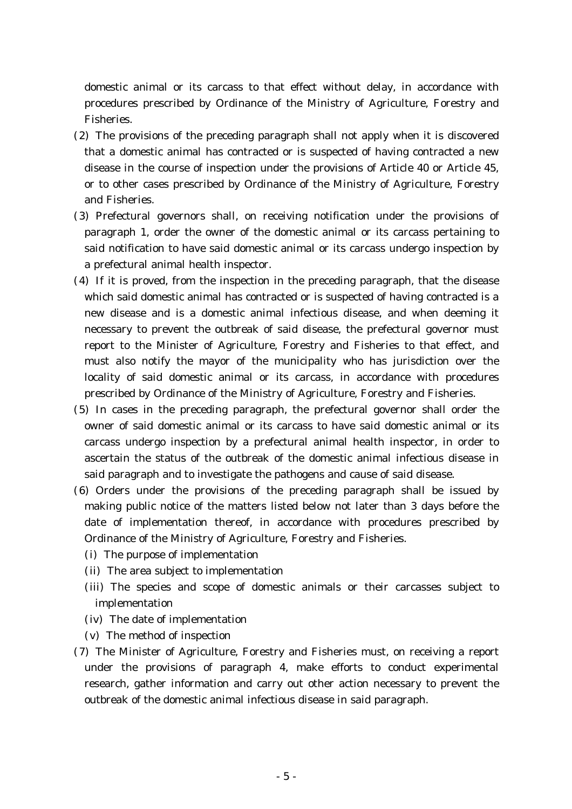domestic animal or its carcass to that effect without delay, in accordance with procedures prescribed by Ordinance of the Ministry of Agriculture, Forestry and Fisheries.

- $(2)$  The provisions of the preceding paragraph shall not apply when it is discovered that a domestic animal has contracted or is suspected of having contracted a new disease in the course of inspection under the provisions of Article 40 or Article 45, or to other cases prescribed by Ordinance of the Ministry of Agriculture, Forestry and Fisheries.
- (3) Prefectural governors shall, on receiving notification under the provisions of paragraph 1, order the owner of the domestic animal or its carcass pertaining to said notification to have said domestic animal or its carcass undergo inspection by a prefectural animal health inspector.
- $(4)$  If it is proved, from the inspection in the preceding paragraph, that the disease which said domestic animal has contracted or is suspected of having contracted is a new disease and is a domestic animal infectious disease, and when deeming it necessary to prevent the outbreak of said disease, the prefectural governor must report to the Minister of Agriculture, Forestry and Fisheries to that effect, and must also notify the mayor of the municipality who has jurisdiction over the locality of said domestic animal or its carcass, in accordance with procedures prescribed by Ordinance of the Ministry of Agriculture, Forestry and Fisheries.
- (5) In cases in the preceding paragraph, the prefectural governor shall order the owner of said domestic animal or its carcass to have said domestic animal or its carcass undergo inspection by a prefectural animal health inspector, in order to ascertain the status of the outbreak of the domestic animal infectious disease in said paragraph and to investigate the pathogens and cause of said disease.
- (6) Orders under the provisions of the preceding paragraph shall be issued by making public notice of the matters listed below not later than 3 days before the date of implementation thereof, in accordance with procedures prescribed by Ordinance of the Ministry of Agriculture, Forestry and Fisheries.
	- (i) The purpose of implementation
	- (ii) The area subject to implementation
	- (iii) The species and scope of domestic animals or their carcasses subject to implementation
	- (iv) The date of implementation
	- $(v)$  The method of inspection
- (7) The Minister of Agriculture, Forestry and Fisheries must, on receiving a report under the provisions of paragraph 4, make efforts to conduct experimental research, gather information and carry out other action necessary to prevent the outbreak of the domestic animal infectious disease in said paragraph.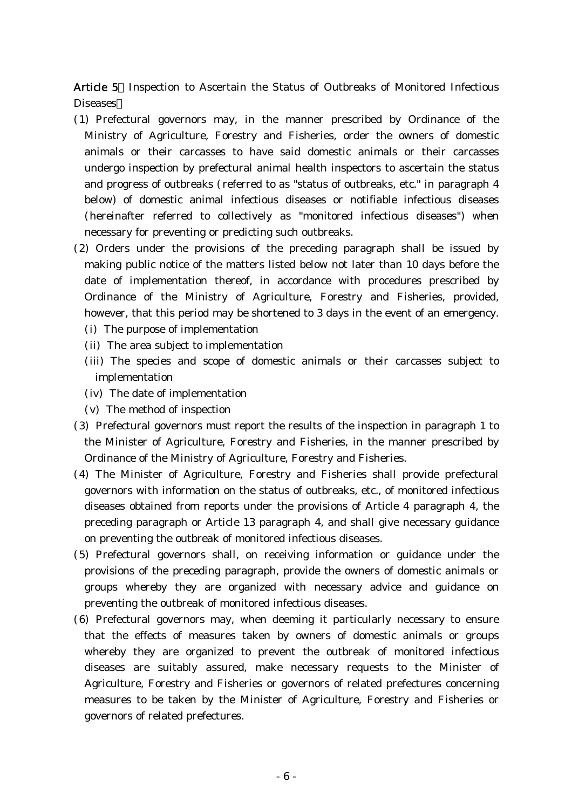Article 5 Inspection to Ascertain the Status of Outbreaks of Monitored Infectious Diseases

- ( )1 Prefectural governors may, in the manner prescribed by Ordinance of the Ministry of Agriculture, Forestry and Fisheries, order the owners of domestic animals or their carcasses to have said domestic animals or their carcasses undergo inspection by prefectural animal health inspectors to ascertain the status and progress of outbreaks (referred to as "status of outbreaks, etc." in paragraph 4 below) of domestic animal infectious diseases or notifiable infectious diseases (hereinafter referred to collectively as "monitored infectious diseases") when necessary for preventing or predicting such outbreaks.
- (2) Orders under the provisions of the preceding paragraph shall be issued by making public notice of the matters listed below not later than 10 days before the date of implementation thereof, in accordance with procedures prescribed by Ordinance of the Ministry of Agriculture, Forestry and Fisheries, provided, however, that this period may be shortened to 3 days in the event of an emergency.
	- (i) The purpose of implementation
	- (ii) The area subject to implementation
	- (iii) The species and scope of domestic animals or their carcasses subject to implementation
	- (iv) The date of implementation
	- $(v)$  The method of inspection
- ( )3 Prefectural governors must report the results of the inspection in paragraph 1 to the Minister of Agriculture, Forestry and Fisheries, in the manner prescribed by Ordinance of the Ministry of Agriculture, Forestry and Fisheries.
- (4) The Minister of Agriculture, Forestry and Fisheries shall provide prefectural governors with information on the status of outbreaks, etc., of monitored infectious diseases obtained from reports under the provisions of Article 4 paragraph 4, the preceding paragraph or Article 13 paragraph 4, and shall give necessary guidance on preventing the outbreak of monitored infectious diseases.
- (5) Prefectural governors shall, on receiving information or guidance under the provisions of the preceding paragraph, provide the owners of domestic animals or groups whereby they are organized with necessary advice and guidance on preventing the outbreak of monitored infectious diseases.
- (6) Prefectural governors may, when deeming it particularly necessary to ensure that the effects of measures taken by owners of domestic animals or groups whereby they are organized to prevent the outbreak of monitored infectious diseases are suitably assured, make necessary requests to the Minister of Agriculture, Forestry and Fisheries or governors of related prefectures concerning measures to be taken by the Minister of Agriculture, Forestry and Fisheries or governors of related prefectures.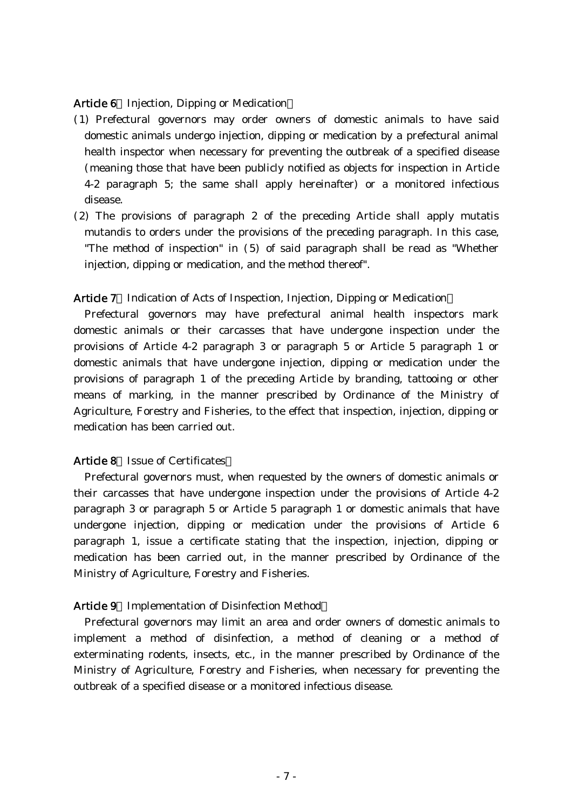#### Article 6 Injection, Dipping or Medication

- ( )1 Prefectural governors may order owners of domestic animals to have said domestic animals undergo injection, dipping or medication by a prefectural animal health inspector when necessary for preventing the outbreak of a specified disease (meaning those that have been publicly notified as objects for inspection in Article 4-2 paragraph 5; the same shall apply hereinafter) or a monitored infectious disease.
- $(2)$  The provisions of paragraph 2 of the preceding Article shall apply mutatis mutandis to orders under the provisions of the preceding paragraph. In this case, "The method of inspection" in  $(5)$  of said paragraph shall be read as "Whether injection, dipping or medication, and the method thereof".

#### Article 7 Indication of Acts of Inspection, Injection, Dipping or Medication

Prefectural governors may have prefectural animal health inspectors mark domestic animals or their carcasses that have undergone inspection under the provisions of Article 4-2 paragraph 3 or paragraph 5 or Article 5 paragraph 1 or domestic animals that have undergone injection, dipping or medication under the provisions of paragraph 1 of the preceding Article by branding, tattooing or other means of marking, in the manner prescribed by Ordinance of the Ministry of Agriculture, Forestry and Fisheries, to the effect that inspection, injection, dipping or medication has been carried out.

## Article 8 Issue of Certificates

Prefectural governors must, when requested by the owners of domestic animals or their carcasses that have undergone inspection under the provisions of Article 4-2 paragraph 3 or paragraph 5 or Article 5 paragraph 1 or domestic animals that have undergone injection, dipping or medication under the provisions of Article 6 paragraph 1, issue a certificate stating that the inspection, injection, dipping or medication has been carried out, in the manner prescribed by Ordinance of the Ministry of Agriculture, Forestry and Fisheries.

#### Article 9 Implementation of Disinfection Method

Prefectural governors may limit an area and order owners of domestic animals to implement a method of disinfection, a method of cleaning or a method of exterminating rodents, insects, etc., in the manner prescribed by Ordinance of the Ministry of Agriculture, Forestry and Fisheries, when necessary for preventing the outbreak of a specified disease or a monitored infectious disease.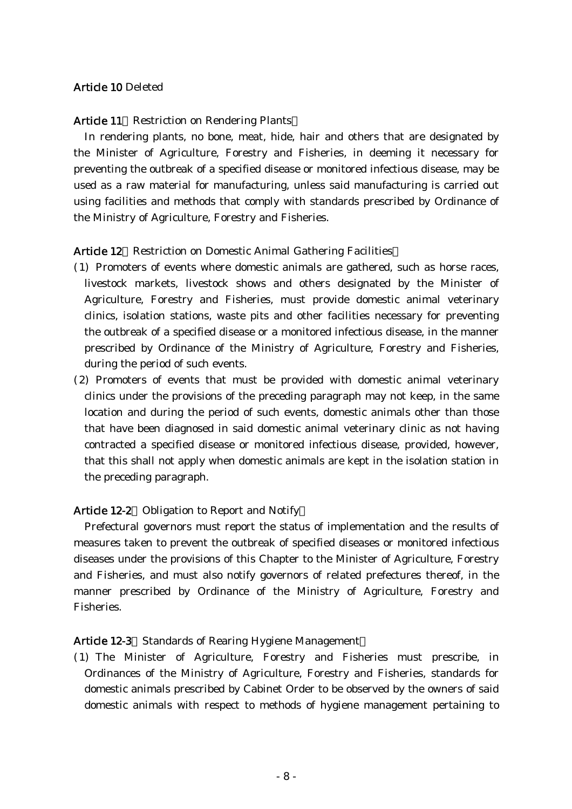## Article 10 Deleted

### Article 11 Restriction on Rendering Plants

In rendering plants, no bone, meat, hide, hair and others that are designated by the Minister of Agriculture, Forestry and Fisheries, in deeming it necessary for preventing the outbreak of a specified disease or monitored infectious disease, may be used as a raw material for manufacturing, unless said manufacturing is carried out using facilities and methods that comply with standards prescribed by Ordinance of the Ministry of Agriculture, Forestry and Fisheries.

## Article 12 Restriction on Domestic Animal Gathering Facilities

- ( )1 Promoters of events where domestic animals are gathered, such as horse races, livestock markets, livestock shows and others designated by the Minister of Agriculture, Forestry and Fisheries, must provide domestic animal veterinary clinics, isolation stations, waste pits and other facilities necessary for preventing the outbreak of a specified disease or a monitored infectious disease, in the manner prescribed by Ordinance of the Ministry of Agriculture, Forestry and Fisheries, during the period of such events.
- (2) Promoters of events that must be provided with domestic animal veterinary clinics under the provisions of the preceding paragraph may not keep, in the same location and during the period of such events, domestic animals other than those that have been diagnosed in said domestic animal veterinary clinic as not having contracted a specified disease or monitored infectious disease, provided, however, that this shall not apply when domestic animals are kept in the isolation station in the preceding paragraph.

## Article 12-2 Obligation to Report and Notify

Prefectural governors must report the status of implementation and the results of measures taken to prevent the outbreak of specified diseases or monitored infectious diseases under the provisions of this Chapter to the Minister of Agriculture, Forestry and Fisheries, and must also notify governors of related prefectures thereof, in the manner prescribed by Ordinance of the Ministry of Agriculture, Forestry and Fisheries.

## Article 12-3 Standards of Rearing Hygiene Management

( )1 The Minister of Agriculture, Forestry and Fisheries must prescribe, in Ordinances of the Ministry of Agriculture, Forestry and Fisheries, standards for domestic animals prescribed by Cabinet Order to be observed by the owners of said domestic animals with respect to methods of hygiene management pertaining to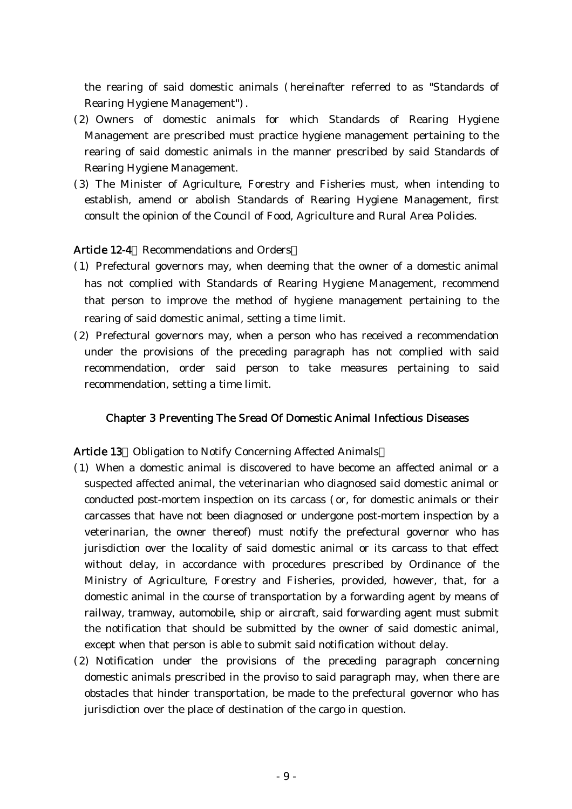the rearing of said domestic animals (hereinafter referred to as "Standards of Rearing Hygiene Management").

- (2) Owners of domestic animals for which Standards of Rearing Hygiene Management are prescribed must practice hygiene management pertaining to the rearing of said domestic animals in the manner prescribed by said Standards of Rearing Hygiene Management.
- (3) The Minister of Agriculture, Forestry and Fisheries must, when intending to establish, amend or abolish Standards of Rearing Hygiene Management, first consult the opinion of the Council of Food, Agriculture and Rural Area Policies.

## Article 12-4 Recommendations and Orders

- ( )1 Prefectural governors may, when deeming that the owner of a domestic animal has not complied with Standards of Rearing Hygiene Management, recommend that person to improve the method of hygiene management pertaining to the rearing of said domestic animal, setting a time limit.
- ( )2 Prefectural governors may, when a person who has received a recommendation under the provisions of the preceding paragraph has not complied with said recommendation, order said person to take measures pertaining to said recommendation, setting a time limit.

## Chapter 3 Preventing The Sread Of Domestic Animal Infectious Diseases

## Article 13 Obligation to Notify Concerning Affected Animals

- ( )1 When a domestic animal is discovered to have become an affected animal or a suspected affected animal, the veterinarian who diagnosed said domestic animal or conducted post-mortem inspection on its carcass (or, for domestic animals or their carcasses that have not been diagnosed or undergone post-mortem inspection by a veterinarian, the owner thereof) must notify the prefectural governor who has jurisdiction over the locality of said domestic animal or its carcass to that effect without delay, in accordance with procedures prescribed by Ordinance of the Ministry of Agriculture, Forestry and Fisheries, provided, however, that, for a domestic animal in the course of transportation by a forwarding agent by means of railway, tramway, automobile, ship or aircraft, said forwarding agent must submit the notification that should be submitted by the owner of said domestic animal, except when that person is able to submit said notification without delay.
- (2) Notification under the provisions of the preceding paragraph concerning domestic animals prescribed in the proviso to said paragraph may, when there are obstacles that hinder transportation, be made to the prefectural governor who has jurisdiction over the place of destination of the cargo in question.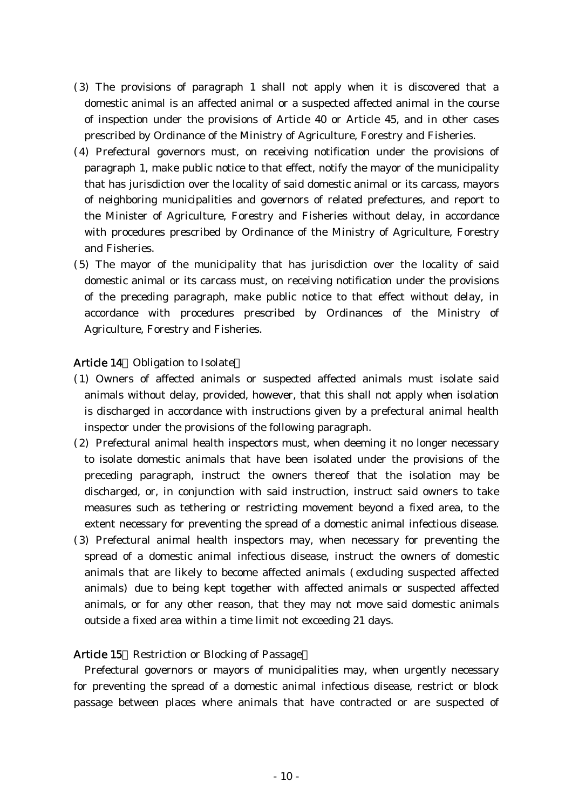- ( )3 The provisions of paragraph 1 shall not apply when it is discovered that a domestic animal is an affected animal or a suspected affected animal in the course of inspection under the provisions of Article 40 or Article 45, and in other cases prescribed by Ordinance of the Ministry of Agriculture, Forestry and Fisheries.
- (4) Prefectural governors must, on receiving notification under the provisions of paragraph 1, make public notice to that effect, notify the mayor of the municipality that has jurisdiction over the locality of said domestic animal or its carcass, mayors of neighboring municipalities and governors of related prefectures, and report to the Minister of Agriculture, Forestry and Fisheries without delay, in accordance with procedures prescribed by Ordinance of the Ministry of Agriculture, Forestry and Fisheries.
- (5) The mayor of the municipality that has jurisdiction over the locality of said domestic animal or its carcass must, on receiving notification under the provisions of the preceding paragraph, make public notice to that effect without delay, in accordance with procedures prescribed by Ordinances of the Ministry of Agriculture, Forestry and Fisheries.

## Article 14 Obligation to Isolate

- ( )1 Owners of affected animals or suspected affected animals must isolate said animals without delay, provided, however, that this shall not apply when isolation is discharged in accordance with instructions given by a prefectural animal health inspector under the provisions of the following paragraph.
- (2) Prefectural animal health inspectors must, when deeming it no longer necessary to isolate domestic animals that have been isolated under the provisions of the preceding paragraph, instruct the owners thereof that the isolation may be discharged, or, in conjunction with said instruction, instruct said owners to take measures such as tethering or restricting movement beyond a fixed area, to the extent necessary for preventing the spread of a domestic animal infectious disease.
- (3) Prefectural animal health inspectors may, when necessary for preventing the spread of a domestic animal infectious disease, instruct the owners of domestic animals that are likely to become affected animals (excluding suspected affected animals) due to being kept together with affected animals or suspected affected animals, or for any other reason, that they may not move said domestic animals outside a fixed area within a time limit not exceeding 21 days.

#### Article 15 Restriction or Blocking of Passage

Prefectural governors or mayors of municipalities may, when urgently necessary for preventing the spread of a domestic animal infectious disease, restrict or block passage between places where animals that have contracted or are suspected of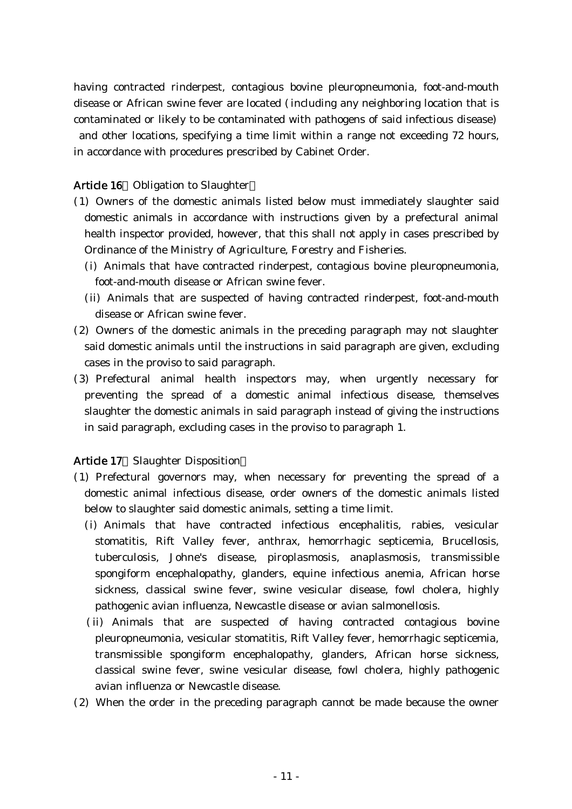having contracted rinderpest, contagious bovine pleuropneumonia, foot-and-mouth disease or African swine fever are located (including any neighboring location that is contaminated or likely to be contaminated with pathogens of said infectious disease) and other locations, specifying a time limit within a range not exceeding 72 hours, in accordance with procedures prescribed by Cabinet Order.

## Article 16 Obligation to Slaughter

- ( )1 Owners of the domestic animals listed below must immediately slaughter said domestic animals in accordance with instructions given by a prefectural animal health inspector provided, however, that this shall not apply in cases prescribed by Ordinance of the Ministry of Agriculture, Forestry and Fisheries.
	- (i) Animals that have contracted rinderpest, contagious bovine pleuropneumonia, foot-and-mouth disease or African swine fever.
	- (ii) Animals that are suspected of having contracted rinderpest, foot-and-mouth disease or African swine fever.
- $(2)$  Owners of the domestic animals in the preceding paragraph may not slaughter said domestic animals until the instructions in said paragraph are given, excluding cases in the proviso to said paragraph.
- (3) Prefectural animal health inspectors may, when urgently necessary for preventing the spread of a domestic animal infectious disease, themselves slaughter the domestic animals in said paragraph instead of giving the instructions in said paragraph, excluding cases in the proviso to paragraph 1.

## Article 17 Slaughter Disposition

- ( )1 Prefectural governors may, when necessary for preventing the spread of a domestic animal infectious disease, order owners of the domestic animals listed below to slaughter said domestic animals, setting a time limit.
	- (i) Animals that have contracted infectious encephalitis, rabies, vesicular stomatitis, Rift Valley fever, anthrax, hemorrhagic septicemia, Brucellosis, tuberculosis, Johne's disease, piroplasmosis, anaplasmosis, transmissible spongiform encephalopathy, glanders, equine infectious anemia, African horse sickness, classical swine fever, swine vesicular disease, fowl cholera, highly pathogenic avian influenza, Newcastle disease or avian salmonellosis.
	- (ii) Animals that are suspected of having contracted contagious bovine pleuropneumonia, vesicular stomatitis, Rift Valley fever, hemorrhagic septicemia, transmissible spongiform encephalopathy, glanders, African horse sickness, classical swine fever, swine vesicular disease, fowl cholera, highly pathogenic avian influenza or Newcastle disease.
- (2) When the order in the preceding paragraph cannot be made because the owner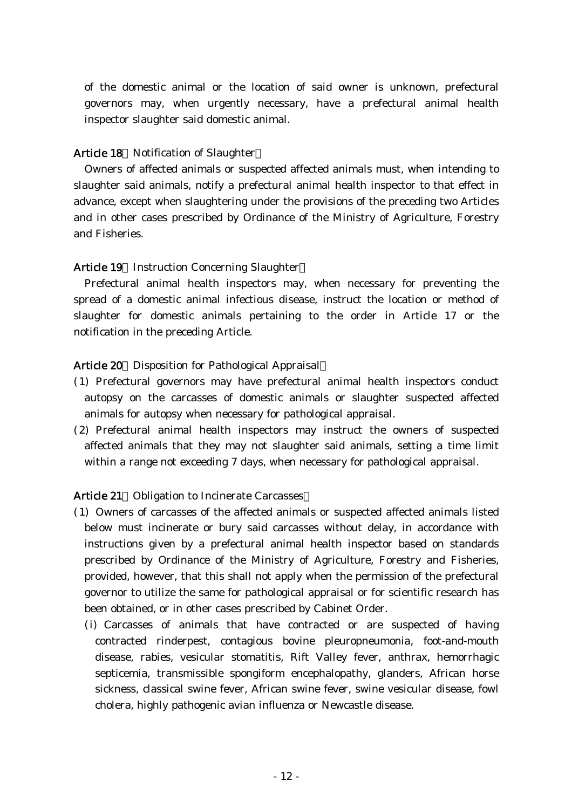of the domestic animal or the location of said owner is unknown, prefectural governors may, when urgently necessary, have a prefectural animal health inspector slaughter said domestic animal.

### Article 18 Notification of Slaughter

Owners of affected animals or suspected affected animals must, when intending to slaughter said animals, notify a prefectural animal health inspector to that effect in advance, except when slaughtering under the provisions of the preceding two Articles and in other cases prescribed by Ordinance of the Ministry of Agriculture, Forestry and Fisheries.

### Article 19 Instruction Concerning Slaughter

Prefectural animal health inspectors may, when necessary for preventing the spread of a domestic animal infectious disease, instruct the location or method of slaughter for domestic animals pertaining to the order in Article 17 or the notification in the preceding Article.

### Article 20 Disposition for Pathological Appraisal

- ( )1 Prefectural governors may have prefectural animal health inspectors conduct autopsy on the carcasses of domestic animals or slaughter suspected affected animals for autopsy when necessary for pathological appraisal.
- (2) Prefectural animal health inspectors may instruct the owners of suspected affected animals that they may not slaughter said animals, setting a time limit within a range not exceeding 7 days, when necessary for pathological appraisal.

## Article 21 Obligation to Incinerate Carcasses

- ( )1 Owners of carcasses of the affected animals or suspected affected animals listed below must incinerate or bury said carcasses without delay, in accordance with instructions given by a prefectural animal health inspector based on standards prescribed by Ordinance of the Ministry of Agriculture, Forestry and Fisheries, provided, however, that this shall not apply when the permission of the prefectural governor to utilize the same for pathological appraisal or for scientific research has been obtained, or in other cases prescribed by Cabinet Order.
	- (i) Carcasses of animals that have contracted or are suspected of having contracted rinderpest, contagious bovine pleuropneumonia, foot-and-mouth disease, rabies, vesicular stomatitis, Rift Valley fever, anthrax, hemorrhagic septicemia, transmissible spongiform encephalopathy, glanders, African horse sickness, classical swine fever, African swine fever, swine vesicular disease, fowl cholera, highly pathogenic avian influenza or Newcastle disease.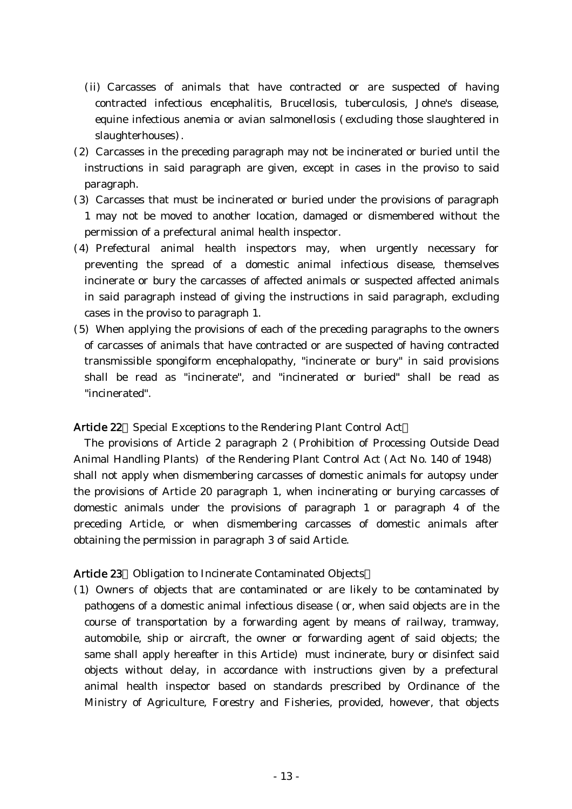- (ii) Carcasses of animals that have contracted or are suspected of having contracted infectious encephalitis, Brucellosis, tuberculosis, Johne's disease, equine infectious anemia or avian salmonellosis (excluding those slaughtered in slaughterhouses).
- (2) Carcasses in the preceding paragraph may not be incinerated or buried until the instructions in said paragraph are given, except in cases in the proviso to said paragraph.
- (3) Carcasses that must be incinerated or buried under the provisions of paragraph 1 may not be moved to another location, damaged or dismembered without the permission of a prefectural animal health inspector.
- (4) Prefectural animal health inspectors may, when urgently necessary for preventing the spread of a domestic animal infectious disease, themselves incinerate or bury the carcasses of affected animals or suspected affected animals in said paragraph instead of giving the instructions in said paragraph, excluding cases in the proviso to paragraph 1.
- (5) When applying the provisions of each of the preceding paragraphs to the owners of carcasses of animals that have contracted or are suspected of having contracted transmissible spongiform encephalopathy, "incinerate or bury" in said provisions shall be read as "incinerate", and "incinerated or buried" shall be read as "incinerated".

## Article 22 Special Exceptions to the Rendering Plant Control Act

The provisions of Article 2 paragraph 2 ( Prohibition of Processing Outside Dead Animal Handling Plants) of the Rendering Plant Control Act (Act No. 140 of 1948) shall not apply when dismembering carcasses of domestic animals for autopsy under the provisions of Article 20 paragraph 1, when incinerating or burying carcasses of domestic animals under the provisions of paragraph 1 or paragraph 4 of the preceding Article, or when dismembering carcasses of domestic animals after obtaining the permission in paragraph 3 of said Article.

## Article 23 Obligation to Incinerate Contaminated Objects

( )1 Owners of objects that are contaminated or are likely to be contaminated by pathogens of a domestic animal infectious disease (or, when said objects are in the course of transportation by a forwarding agent by means of railway, tramway, automobile, ship or aircraft, the owner or forwarding agent of said objects; the same shall apply hereafter in this Article) must incinerate, bury or disinfect said objects without delay, in accordance with instructions given by a prefectural animal health inspector based on standards prescribed by Ordinance of the Ministry of Agriculture, Forestry and Fisheries, provided, however, that objects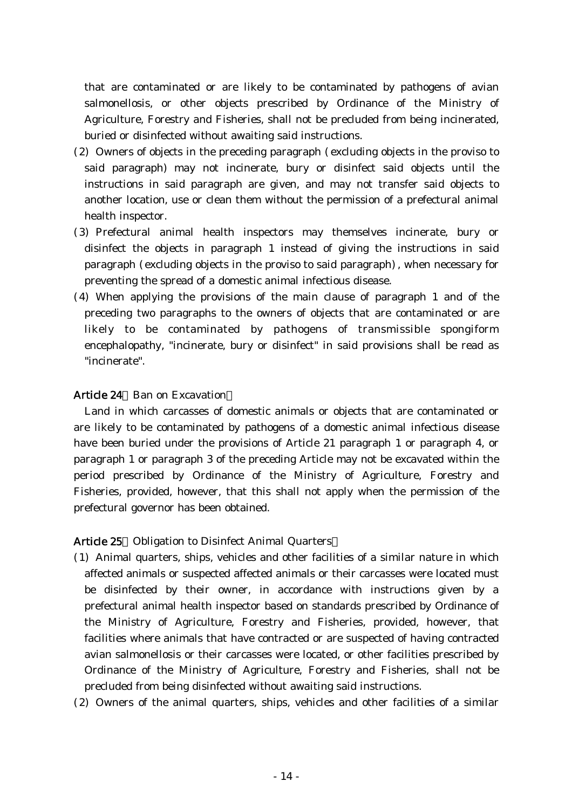that are contaminated or are likely to be contaminated by pathogens of avian salmonellosis, or other objects prescribed by Ordinance of the Ministry of Agriculture, Forestry and Fisheries, shall not be precluded from being incinerated, buried or disinfected without awaiting said instructions.

- $(2)$  Owners of objects in the preceding paragraph (excluding objects in the proviso to said paragraph) may not incinerate, bury or disinfect said objects until the instructions in said paragraph are given, and may not transfer said objects to another location, use or clean them without the permission of a prefectural animal health inspector.
- (3) Prefectural animal health inspectors may themselves incinerate, bury or disinfect the objects in paragraph 1 instead of giving the instructions in said paragraph (excluding objects in the proviso to said paragraph), when necessary for preventing the spread of a domestic animal infectious disease.
- $(4)$  When applying the provisions of the main clause of paragraph 1 and of the preceding two paragraphs to the owners of objects that are contaminated or are likely to be contaminated by pathogens of transmissible spongiform encephalopathy, "incinerate, bury or disinfect" in said provisions shall be read as "incinerate".

## Article 24 Ban on Excavation

Land in which carcasses of domestic animals or objects that are contaminated or are likely to be contaminated by pathogens of a domestic animal infectious disease have been buried under the provisions of Article 21 paragraph 1 or paragraph 4, or paragraph 1 or paragraph 3 of the preceding Article may not be excavated within the period prescribed by Ordinance of the Ministry of Agriculture, Forestry and Fisheries, provided, however, that this shall not apply when the permission of the prefectural governor has been obtained.

## Article 25 Obligation to Disinfect Animal Quarters

- ( )1 Animal quarters, ships, vehicles and other facilities of a similar nature in which affected animals or suspected affected animals or their carcasses were located must be disinfected by their owner, in accordance with instructions given by a prefectural animal health inspector based on standards prescribed by Ordinance of the Ministry of Agriculture, Forestry and Fisheries, provided, however, that facilities where animals that have contracted or are suspected of having contracted avian salmonellosis or their carcasses were located, or other facilities prescribed by Ordinance of the Ministry of Agriculture, Forestry and Fisheries, shall not be precluded from being disinfected without awaiting said instructions.
- $(2)$  Owners of the animal quarters, ships, vehicles and other facilities of a similar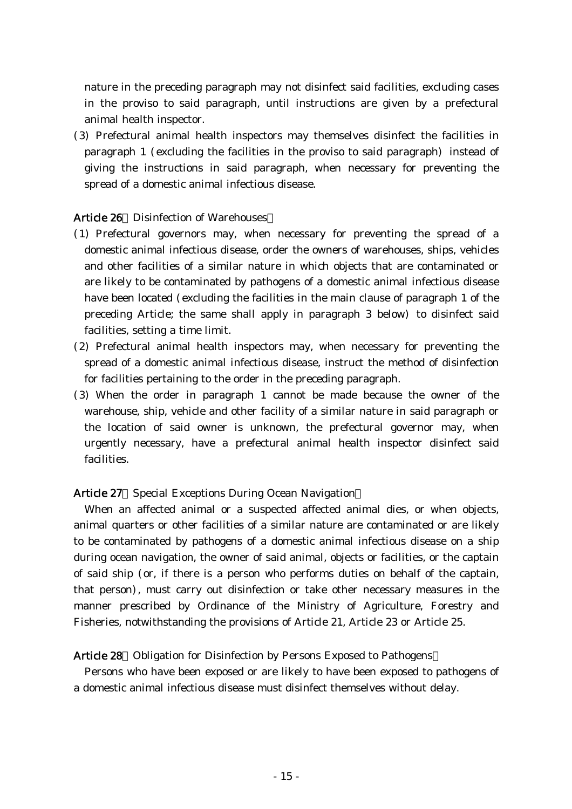nature in the preceding paragraph may not disinfect said facilities, excluding cases in the proviso to said paragraph, until instructions are given by a prefectural animal health inspector.

( )3 Prefectural animal health inspectors may themselves disinfect the facilities in paragraph 1 (excluding the facilities in the proviso to said paragraph) instead of giving the instructions in said paragraph, when necessary for preventing the spread of a domestic animal infectious disease.

### Article 26 Disinfection of Warehouses

- (1) Prefectural governors may, when necessary for preventing the spread of a domestic animal infectious disease, order the owners of warehouses, ships, vehicles and other facilities of a similar nature in which objects that are contaminated or are likely to be contaminated by pathogens of a domestic animal infectious disease have been located (excluding the facilities in the main clause of paragraph 1 of the preceding Article; the same shall apply in paragraph 3 below) to disinfect said facilities, setting a time limit.
- (2) Prefectural animal health inspectors may, when necessary for preventing the spread of a domestic animal infectious disease, instruct the method of disinfection for facilities pertaining to the order in the preceding paragraph.
- (3) When the order in paragraph 1 cannot be made because the owner of the warehouse, ship, vehicle and other facility of a similar nature in said paragraph or the location of said owner is unknown, the prefectural governor may, when urgently necessary, have a prefectural animal health inspector disinfect said facilities.

### Article 27 Special Exceptions During Ocean Navigation

When an affected animal or a suspected affected animal dies, or when objects, animal quarters or other facilities of a similar nature are contaminated or are likely to be contaminated by pathogens of a domestic animal infectious disease on a ship during ocean navigation, the owner of said animal, objects or facilities, or the captain of said ship (or, if there is a person who performs duties on behalf of the captain, that person), must carry out disinfection or take other necessary measures in the manner prescribed by Ordinance of the Ministry of Agriculture, Forestry and Fisheries, notwithstanding the provisions of Article 21, Article 23 or Article 25.

#### Article 28 Obligation for Disinfection by Persons Exposed to Pathogens

Persons who have been exposed or are likely to have been exposed to pathogens of a domestic animal infectious disease must disinfect themselves without delay.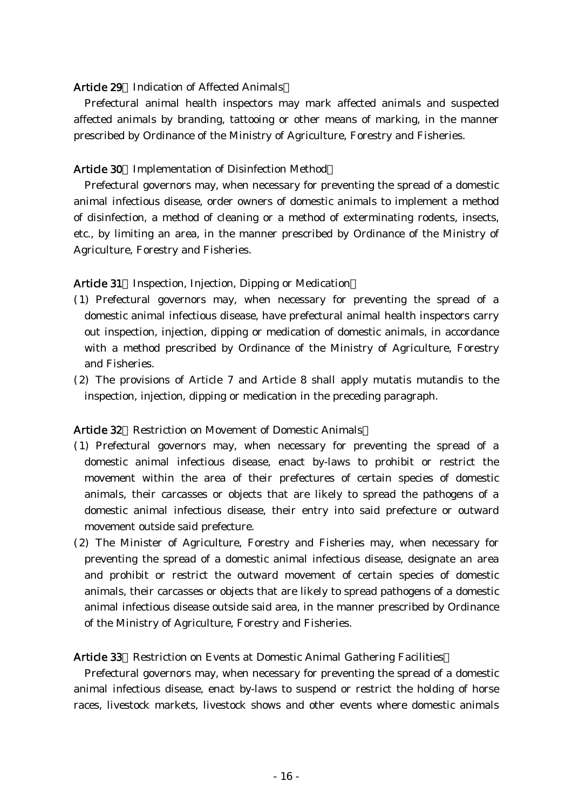#### Article 29 Indication of Affected Animals

Prefectural animal health inspectors may mark affected animals and suspected affected animals by branding, tattooing or other means of marking, in the manner prescribed by Ordinance of the Ministry of Agriculture, Forestry and Fisheries.

#### Article 30 Implementation of Disinfection Method

Prefectural governors may, when necessary for preventing the spread of a domestic animal infectious disease, order owners of domestic animals to implement a method of disinfection, a method of cleaning or a method of exterminating rodents, insects, etc., by limiting an area, in the manner prescribed by Ordinance of the Ministry of Agriculture, Forestry and Fisheries.

Article 31 Inspection, Injection, Dipping or Medication

- ( )1 Prefectural governors may, when necessary for preventing the spread of a domestic animal infectious disease, have prefectural animal health inspectors carry out inspection, injection, dipping or medication of domestic animals, in accordance with a method prescribed by Ordinance of the Ministry of Agriculture, Forestry and Fisheries.
- $(2)$  The provisions of Article 7 and Article 8 shall apply mutatis mutandis to the inspection, injection, dipping or medication in the preceding paragraph.

#### Article 32 Restriction on Movement of Domestic Animals

- ( )1 Prefectural governors may, when necessary for preventing the spread of a domestic animal infectious disease, enact by-laws to prohibit or restrict the movement within the area of their prefectures of certain species of domestic animals, their carcasses or objects that are likely to spread the pathogens of a domestic animal infectious disease, their entry into said prefecture or outward movement outside said prefecture.
- (2) The Minister of Agriculture, Forestry and Fisheries may, when necessary for preventing the spread of a domestic animal infectious disease, designate an area and prohibit or restrict the outward movement of certain species of domestic animals, their carcasses or objects that are likely to spread pathogens of a domestic animal infectious disease outside said area, in the manner prescribed by Ordinance of the Ministry of Agriculture, Forestry and Fisheries.

#### Article 33 Restriction on Events at Domestic Animal Gathering Facilities

Prefectural governors may, when necessary for preventing the spread of a domestic animal infectious disease, enact by-laws to suspend or restrict the holding of horse races, livestock markets, livestock shows and other events where domestic animals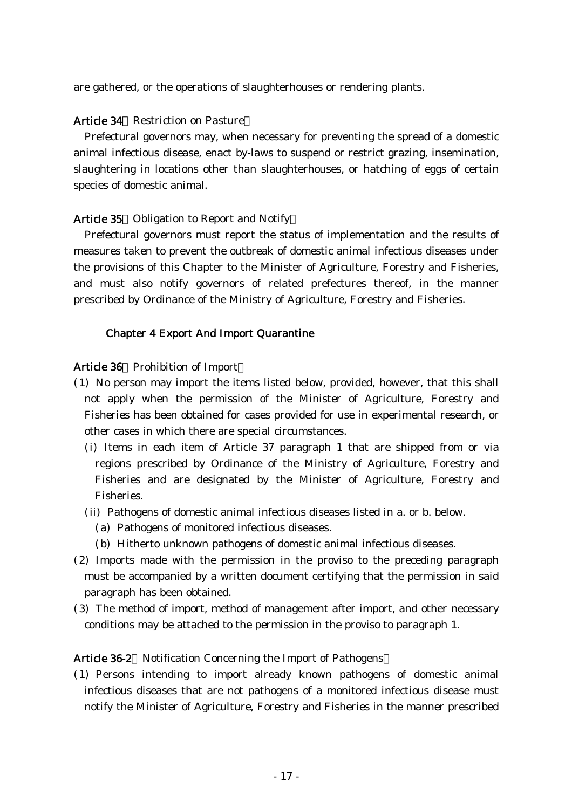are gathered, or the operations of slaughterhouses or rendering plants.

#### Article 34 Restriction on Pasture

Prefectural governors may, when necessary for preventing the spread of a domestic animal infectious disease, enact by-laws to suspend or restrict grazing, insemination, slaughtering in locations other than slaughterhouses, or hatching of eggs of certain species of domestic animal.

#### Article 35 Obligation to Report and Notify

Prefectural governors must report the status of implementation and the results of measures taken to prevent the outbreak of domestic animal infectious diseases under the provisions of this Chapter to the Minister of Agriculture, Forestry and Fisheries, and must also notify governors of related prefectures thereof, in the manner prescribed by Ordinance of the Ministry of Agriculture, Forestry and Fisheries.

### Chapter 4 Export And Import Quarantine

#### Article 36 Prohibition of Import

- ( )1 No person may import the items listed below, provided, however, that this shall not apply when the permission of the Minister of Agriculture, Forestry and Fisheries has been obtained for cases provided for use in experimental research, or other cases in which there are special circumstances.
	- (i) Items in each item of Article 37 paragraph 1 that are shipped from or via regions prescribed by Ordinance of the Ministry of Agriculture, Forestry and Fisheries and are designated by the Minister of Agriculture, Forestry and Fisheries.
	- (ii) Pathogens of domestic animal infectious diseases listed in a. or b. below.
		- (a) Pathogens of monitored infectious diseases.
		- (b) Hitherto unknown pathogens of domestic animal infectious diseases.
- (2) Imports made with the permission in the proviso to the preceding paragraph must be accompanied by a written document certifying that the permission in said paragraph has been obtained.
- ( )3 The method of import, method of management after import, and other necessary conditions may be attached to the permission in the proviso to paragraph 1.

### Article 36-2 Notification Concerning the Import of Pathogens

( )1 Persons intending to import already known pathogens of domestic animal infectious diseases that are not pathogens of a monitored infectious disease must notify the Minister of Agriculture, Forestry and Fisheries in the manner prescribed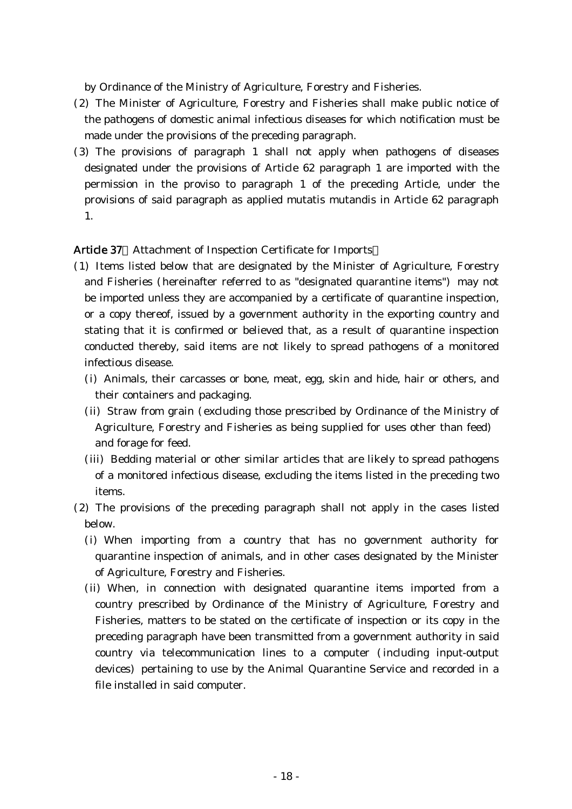by Ordinance of the Ministry of Agriculture, Forestry and Fisheries.

- (2) The Minister of Agriculture, Forestry and Fisheries shall make public notice of the pathogens of domestic animal infectious diseases for which notification must be made under the provisions of the preceding paragraph.
- (3) The provisions of paragraph 1 shall not apply when pathogens of diseases designated under the provisions of Article 62 paragraph 1 are imported with the permission in the proviso to paragraph 1 of the preceding Article, under the provisions of said paragraph as applied mutatis mutandis in Article 62 paragraph 1.

## Article 37 Attachment of Inspection Certificate for Imports

- ( )1 Items listed below that are designated by the Minister of Agriculture, Forestry and Fisheries (hereinafter referred to as "designated quarantine items") may not be imported unless they are accompanied by a certificate of quarantine inspection, or a copy thereof, issued by a government authority in the exporting country and stating that it is confirmed or believed that, as a result of quarantine inspection conducted thereby, said items are not likely to spread pathogens of a monitored infectious disease.
	- (i) Animals, their carcasses or bone, meat, egg, skin and hide, hair or others, and their containers and packaging.
	- (ii) Straw from grain (excluding those prescribed by Ordinance of the Ministry of Agriculture, Forestry and Fisheries as being supplied for uses other than feed) and forage for feed.
	- (iii) Bedding material or other similar articles that are likely to spread pathogens of a monitored infectious disease, excluding the items listed in the preceding two items.
- (2) The provisions of the preceding paragraph shall not apply in the cases listed below.
	- (i) When importing from a country that has no government authority for quarantine inspection of animals, and in other cases designated by the Minister of Agriculture, Forestry and Fisheries.
	- (ii) When, in connection with designated quarantine items imported from a country prescribed by Ordinance of the Ministry of Agriculture, Forestry and Fisheries, matters to be stated on the certificate of inspection or its copy in the preceding paragraph have been transmitted from a government authority in said country via telecommunication lines to a computer (including input-output devices) pertaining to use by the Animal Quarantine Service and recorded in a file installed in said computer.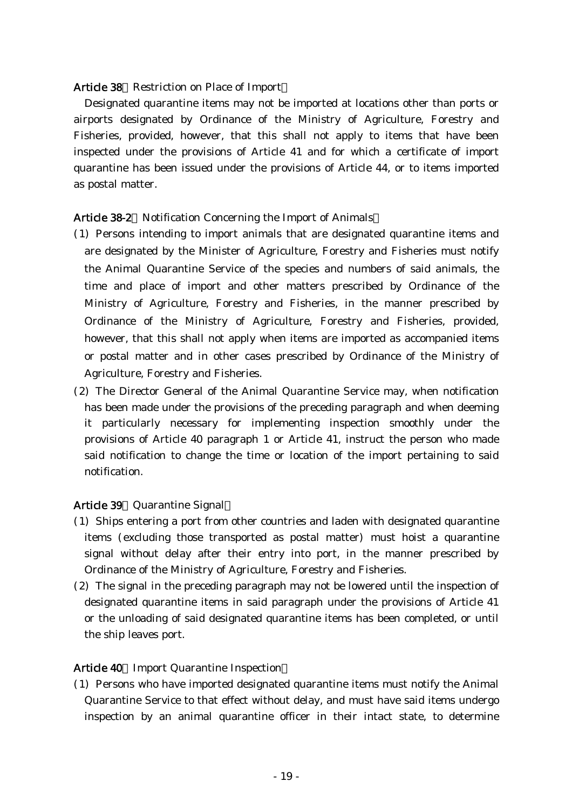### Article 38 Restriction on Place of Import

Designated quarantine items may not be imported at locations other than ports or airports designated by Ordinance of the Ministry of Agriculture, Forestry and Fisheries, provided, however, that this shall not apply to items that have been inspected under the provisions of Article 41 and for which a certificate of import quarantine has been issued under the provisions of Article 44, or to items imported as postal matter.

## Article 38-2 Notification Concerning the Import of Animals

- ( )1 Persons intending to import animals that are designated quarantine items and are designated by the Minister of Agriculture, Forestry and Fisheries must notify the Animal Quarantine Service of the species and numbers of said animals, the time and place of import and other matters prescribed by Ordinance of the Ministry of Agriculture, Forestry and Fisheries, in the manner prescribed by Ordinance of the Ministry of Agriculture, Forestry and Fisheries, provided, however, that this shall not apply when items are imported as accompanied items or postal matter and in other cases prescribed by Ordinance of the Ministry of Agriculture, Forestry and Fisheries.
- $(2)$  The Director General of the Animal Quarantine Service may, when notification has been made under the provisions of the preceding paragraph and when deeming it particularly necessary for implementing inspection smoothly under the provisions of Article 40 paragraph 1 or Article 41, instruct the person who made said notification to change the time or location of the import pertaining to said notification.

## Article 39 Quarantine Signal

- (1) Ships entering a port from other countries and laden with designated quarantine items (excluding those transported as postal matter) must hoist a quarantine signal without delay after their entry into port, in the manner prescribed by Ordinance of the Ministry of Agriculture, Forestry and Fisheries.
- $(2)$  The signal in the preceding paragraph may not be lowered until the inspection of designated quarantine items in said paragraph under the provisions of Article 41 or the unloading of said designated quarantine items has been completed, or until the ship leaves port.

## Article 40 Import Quarantine Inspection

( )1 Persons who have imported designated quarantine items must notify the Animal Quarantine Service to that effect without delay, and must have said items undergo inspection by an animal quarantine officer in their intact state, to determine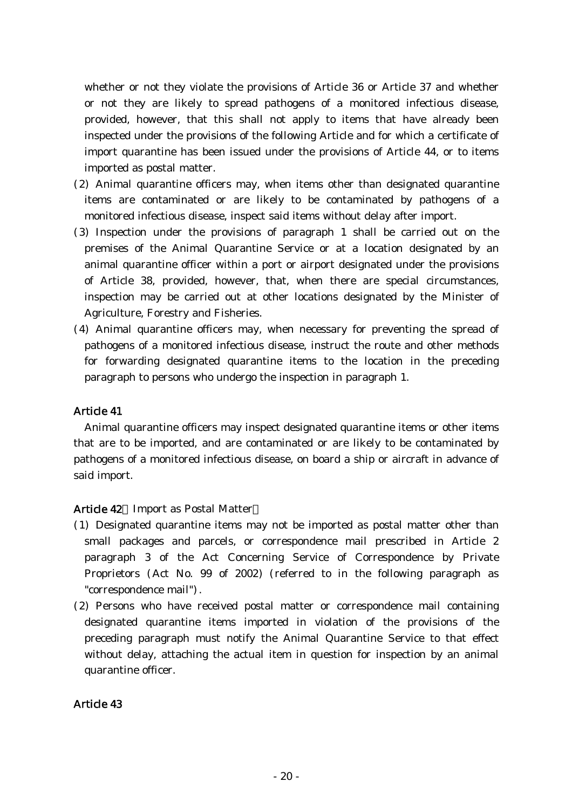whether or not they violate the provisions of Article 36 or Article 37 and whether or not they are likely to spread pathogens of a monitored infectious disease, provided, however, that this shall not apply to items that have already been inspected under the provisions of the following Article and for which a certificate of import quarantine has been issued under the provisions of Article 44, or to items imported as postal matter.

- $(2)$  Animal quarantine officers may, when items other than designated quarantine items are contaminated or are likely to be contaminated by pathogens of a monitored infectious disease, inspect said items without delay after import.
- ( )3 Inspection under the provisions of paragraph 1 shall be carried out on the premises of the Animal Quarantine Service or at a location designated by an animal quarantine officer within a port or airport designated under the provisions of Article 38, provided, however, that, when there are special circumstances, inspection may be carried out at other locations designated by the Minister of Agriculture, Forestry and Fisheries.
- (4) Animal quarantine officers may, when necessary for preventing the spread of pathogens of a monitored infectious disease, instruct the route and other methods for forwarding designated quarantine items to the location in the preceding paragraph to persons who undergo the inspection in paragraph 1.

## Article 41

Animal quarantine officers may inspect designated quarantine items or other items that are to be imported, and are contaminated or are likely to be contaminated by pathogens of a monitored infectious disease, on board a ship or aircraft in advance of said import.

## Article 42 Import as Postal Matter

- ( )1 Designated quarantine items may not be imported as postal matter other than small packages and parcels, or correspondence mail prescribed in Article 2 paragraph 3 of the Act Concerning Service of Correspondence by Private Proprietors  $(Act \ N<sub>0</sub>, 99 \ of \ 2002)$  (referred to in the following paragraph as "correspondence mail").
- (2) Persons who have received postal matter or correspondence mail containing designated quarantine items imported in violation of the provisions of the preceding paragraph must notify the Animal Quarantine Service to that effect without delay, attaching the actual item in question for inspection by an animal quarantine officer.

## Article 43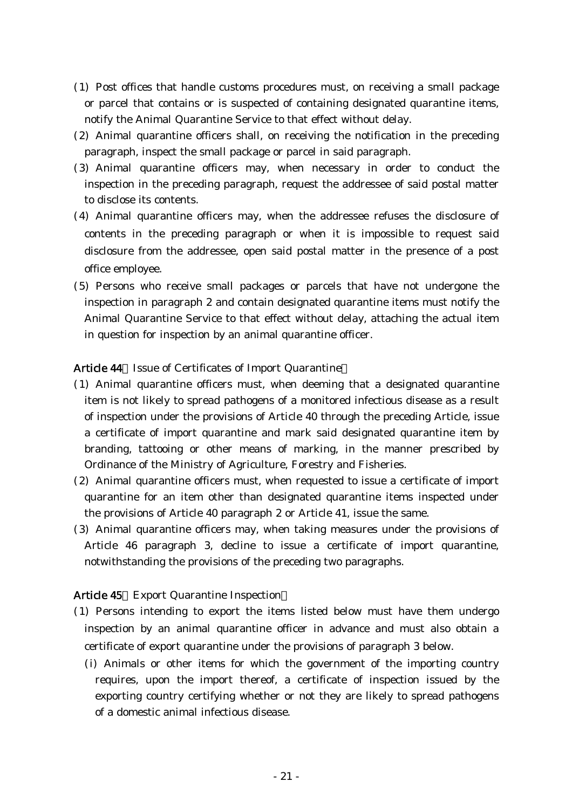- ( )1 Post offices that handle customs procedures must, on receiving a small package or parcel that contains or is suspected of containing designated quarantine items, notify the Animal Quarantine Service to that effect without delay.
- $(2)$  Animal quarantine officers shall, on receiving the notification in the preceding paragraph, inspect the small package or parcel in said paragraph.
- (3) Animal quarantine officers may, when necessary in order to conduct the inspection in the preceding paragraph, request the addressee of said postal matter to disclose its contents.
- (4) Animal quarantine officers may, when the addressee refuses the disclosure of contents in the preceding paragraph or when it is impossible to request said disclosure from the addressee, open said postal matter in the presence of a post office employee.
- (5) Persons who receive small packages or parcels that have not undergone the inspection in paragraph 2 and contain designated quarantine items must notify the Animal Quarantine Service to that effect without delay, attaching the actual item in question for inspection by an animal quarantine officer.

## Article 44 Issue of Certificates of Import Quarantine

- ( )1 Animal quarantine officers must, when deeming that a designated quarantine item is not likely to spread pathogens of a monitored infectious disease as a result of inspection under the provisions of Article 40 through the preceding Article, issue a certificate of import quarantine and mark said designated quarantine item by branding, tattooing or other means of marking, in the manner prescribed by Ordinance of the Ministry of Agriculture, Forestry and Fisheries.
- $(2)$  Animal quarantine officers must, when requested to issue a certificate of import quarantine for an item other than designated quarantine items inspected under the provisions of Article 40 paragraph 2 or Article 41, issue the same.
- (3) Animal quarantine officers may, when taking measures under the provisions of Article 46 paragraph 3, decline to issue a certificate of import quarantine, notwithstanding the provisions of the preceding two paragraphs.

## Article 45 Export Quarantine Inspection

- ( )1 Persons intending to export the items listed below must have them undergo inspection by an animal quarantine officer in advance and must also obtain a certificate of export quarantine under the provisions of paragraph 3 below.
	- (i) Animals or other items for which the government of the importing country requires, upon the import thereof, a certificate of inspection issued by the exporting country certifying whether or not they are likely to spread pathogens of a domestic animal infectious disease.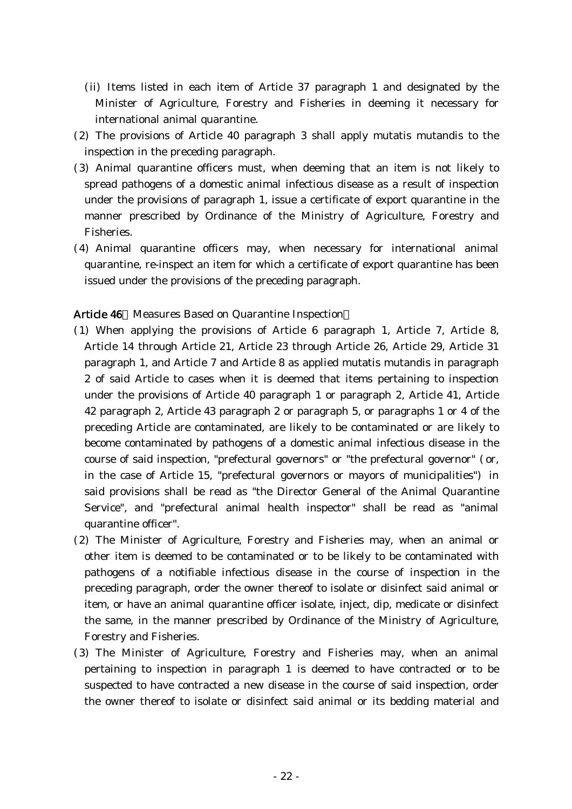- (ii) Items listed in each item of Article 37 paragraph 1 and designated by the Minister of Agriculture, Forestry and Fisheries in deeming it necessary for international animal quarantine.
- $(2)$  The provisions of Article 40 paragraph 3 shall apply mutatis mutandis to the inspection in the preceding paragraph.
- (3) Animal quarantine officers must, when deeming that an item is not likely to spread pathogens of a domestic animal infectious disease as a result of inspection under the provisions of paragraph 1, issue a certificate of export quarantine in the manner prescribed by Ordinance of the Ministry of Agriculture, Forestry and Fisheries.
- (4) Animal quarantine officers may, when necessary for international animal quarantine, re-inspect an item for which a certificate of export quarantine has been issued under the provisions of the preceding paragraph.

### Article 46 Measures Based on Quarantine Inspection

- ( )1 When applying the provisions of Article 6 paragraph 1, Article 7, Article 8, Article 14 through Article 21, Article 23 through Article 26, Article 29, Article 31 paragraph 1, and Article 7 and Article 8 as applied mutatis mutandis in paragraph 2 of said Article to cases when it is deemed that items pertaining to inspection under the provisions of Article 40 paragraph 1 or paragraph 2, Article 41, Article 42 paragraph 2, Article 43 paragraph 2 or paragraph 5, or paragraphs 1 or 4 of the preceding Article are contaminated, are likely to be contaminated or are likely to become contaminated by pathogens of a domestic animal infectious disease in the course of said inspection, "prefectural governors" or "the prefectural governor" (or, in the case of Article 15, "prefectural governors or mayors of municipalities") in said provisions shall be read as "the Director General of the Animal Quarantine Service", and "prefectural animal health inspector" shall be read as "animal quarantine officer".
- (2) The Minister of Agriculture, Forestry and Fisheries may, when an animal or other item is deemed to be contaminated or to be likely to be contaminated with pathogens of a notifiable infectious disease in the course of inspection in the preceding paragraph, order the owner thereof to isolate or disinfect said animal or item, or have an animal quarantine officer isolate, inject, dip, medicate or disinfect the same, in the manner prescribed by Ordinance of the Ministry of Agriculture, Forestry and Fisheries.
- (3) The Minister of Agriculture, Forestry and Fisheries may, when an animal pertaining to inspection in paragraph 1 is deemed to have contracted or to be suspected to have contracted a new disease in the course of said inspection, order the owner thereof to isolate or disinfect said animal or its bedding material and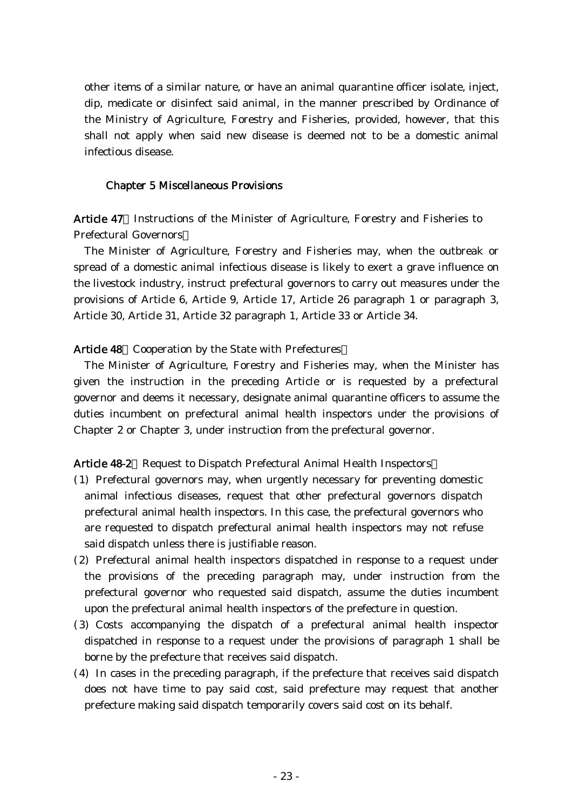other items of a similar nature, or have an animal quarantine officer isolate, inject, dip, medicate or disinfect said animal, in the manner prescribed by Ordinance of the Ministry of Agriculture, Forestry and Fisheries, provided, however, that this shall not apply when said new disease is deemed not to be a domestic animal infectious disease.

#### Chapter 5 Miscellaneous Provisions

Article 47 Instructions of the Minister of Agriculture, Forestry and Fisheries to Prefectural Governors

The Minister of Agriculture, Forestry and Fisheries may, when the outbreak or spread of a domestic animal infectious disease is likely to exert a grave influence on the livestock industry, instruct prefectural governors to carry out measures under the provisions of Article 6, Article 9, Article 17, Article 26 paragraph 1 or paragraph 3, Article 30, Article 31, Article 32 paragraph 1, Article 33 or Article 34.

#### Article 48 Cooperation by the State with Prefectures

The Minister of Agriculture, Forestry and Fisheries may, when the Minister has given the instruction in the preceding Article or is requested by a prefectural governor and deems it necessary, designate animal quarantine officers to assume the duties incumbent on prefectural animal health inspectors under the provisions of Chapter 2 or Chapter 3, under instruction from the prefectural governor.

Article 48-2 Request to Dispatch Prefectural Animal Health Inspectors

- ( )1 Prefectural governors may, when urgently necessary for preventing domestic animal infectious diseases, request that other prefectural governors dispatch prefectural animal health inspectors. In this case, the prefectural governors who are requested to dispatch prefectural animal health inspectors may not refuse said dispatch unless there is justifiable reason.
- (2) Prefectural animal health inspectors dispatched in response to a request under the provisions of the preceding paragraph may, under instruction from the prefectural governor who requested said dispatch, assume the duties incumbent upon the prefectural animal health inspectors of the prefecture in question.
- ( )3 Costs accompanying the dispatch of a prefectural animal health inspector dispatched in response to a request under the provisions of paragraph 1 shall be borne by the prefecture that receives said dispatch.
- $(4)$  In cases in the preceding paragraph, if the prefecture that receives said dispatch does not have time to pay said cost, said prefecture may request that another prefecture making said dispatch temporarily covers said cost on its behalf.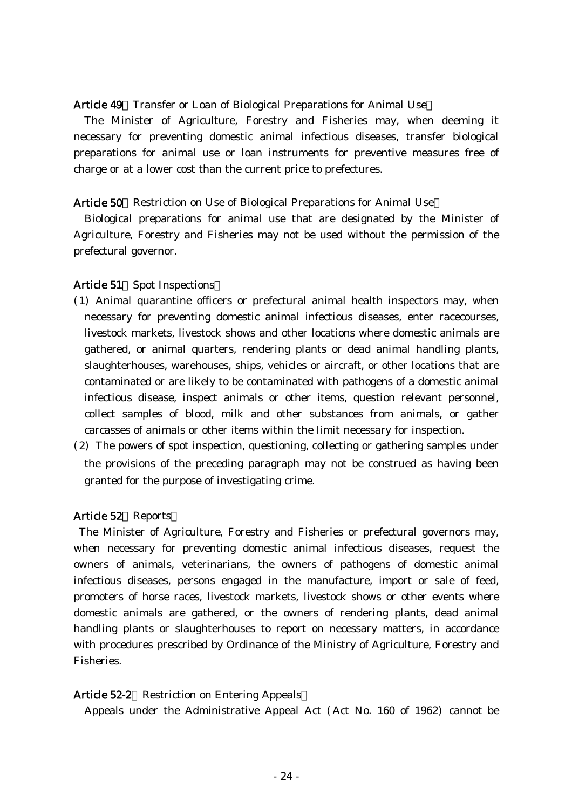#### Article 49 Transfer or Loan of Biological Preparations for Animal Use

The Minister of Agriculture, Forestry and Fisheries may, when deeming it necessary for preventing domestic animal infectious diseases, transfer biological preparations for animal use or loan instruments for preventive measures free of charge or at a lower cost than the current price to prefectures.

#### Article 50 Restriction on Use of Biological Preparations for Animal Use

Biological preparations for animal use that are designated by the Minister of Agriculture, Forestry and Fisheries may not be used without the permission of the prefectural governor.

#### Article 51 Spot Inspections

- ( )1 Animal quarantine officers or prefectural animal health inspectors may, when necessary for preventing domestic animal infectious diseases, enter racecourses, livestock markets, livestock shows and other locations where domestic animals are gathered, or animal quarters, rendering plants or dead animal handling plants, slaughterhouses, warehouses, ships, vehicles or aircraft, or other locations that are contaminated or are likely to be contaminated with pathogens of a domestic animal infectious disease, inspect animals or other items, question relevant personnel, collect samples of blood, milk and other substances from animals, or gather carcasses of animals or other items within the limit necessary for inspection.
- (2) The powers of spot inspection, questioning, collecting or gathering samples under the provisions of the preceding paragraph may not be construed as having been granted for the purpose of investigating crime.

## Article 52 Reports

The Minister of Agriculture, Forestry and Fisheries or prefectural governors may, when necessary for preventing domestic animal infectious diseases, request the owners of animals, veterinarians, the owners of pathogens of domestic animal infectious diseases, persons engaged in the manufacture, import or sale of feed, promoters of horse races, livestock markets, livestock shows or other events where domestic animals are gathered, or the owners of rendering plants, dead animal handling plants or slaughterhouses to report on necessary matters, in accordance with procedures prescribed by Ordinance of the Ministry of Agriculture, Forestry and Fisheries.

#### Article 52-2 Restriction on Entering Appeals

Appeals under the Administrative Appeal Act (Act No. 160 of 1962) cannot be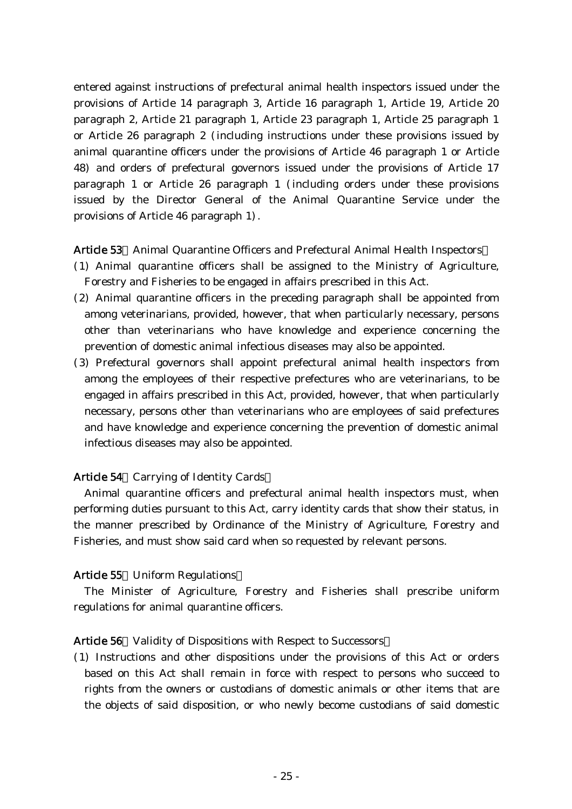entered against instructions of prefectural animal health inspectors issued under the provisions of Article 14 paragraph 3, Article 16 paragraph 1, Article 19, Article 20 paragraph 2, Article 21 paragraph 1, Article 23 paragraph 1, Article 25 paragraph 1 or Article 26 paragraph 2 (including instructions under these provisions issued by animal quarantine officers under the provisions of Article 46 paragraph 1 or Article 48) and orders of prefectural governors issued under the provisions of Article 17 paragraph 1 or Article 26 paragraph 1 (including orders under these provisions issued by the Director General of the Animal Quarantine Service under the provisions of Article  $46$  paragraph  $1$ .

## Article 53 Animal Quarantine Officers and Prefectural Animal Health Inspectors

- ( )1 Animal quarantine officers shall be assigned to the Ministry of Agriculture, Forestry and Fisheries to be engaged in affairs prescribed in this Act.
- $(2)$  Animal quarantine officers in the preceding paragraph shall be appointed from among veterinarians, provided, however, that when particularly necessary, persons other than veterinarians who have knowledge and experience concerning the prevention of domestic animal infectious diseases may also be appointed.
- ( )3 Prefectural governors shall appoint prefectural animal health inspectors from among the employees of their respective prefectures who are veterinarians, to be engaged in affairs prescribed in this Act, provided, however, that when particularly necessary, persons other than veterinarians who are employees of said prefectures and have knowledge and experience concerning the prevention of domestic animal infectious diseases may also be appointed.

## Article 54 Carrying of Identity Cards

Animal quarantine officers and prefectural animal health inspectors must, when performing duties pursuant to this Act, carry identity cards that show their status, in the manner prescribed by Ordinance of the Ministry of Agriculture, Forestry and Fisheries, and must show said card when so requested by relevant persons.

### Article 55 Uniform Regulations

The Minister of Agriculture, Forestry and Fisheries shall prescribe uniform regulations for animal quarantine officers.

#### Article 56 Validity of Dispositions with Respect to Successors

( )1 Instructions and other dispositions under the provisions of this Act or orders based on this Act shall remain in force with respect to persons who succeed to rights from the owners or custodians of domestic animals or other items that are the objects of said disposition, or who newly become custodians of said domestic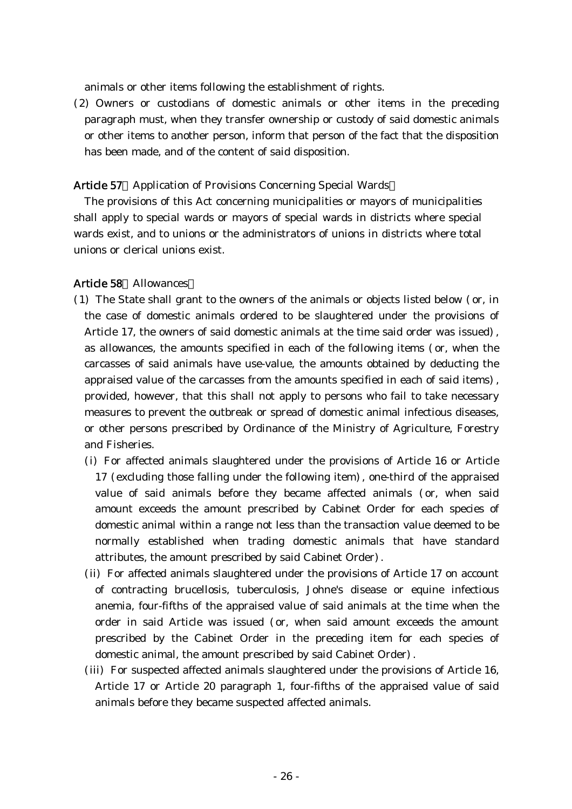animals or other items following the establishment of rights.

(2) Owners or custodians of domestic animals or other items in the preceding paragraph must, when they transfer ownership or custody of said domestic animals or other items to another person, inform that person of the fact that the disposition has been made, and of the content of said disposition.

## Article 57 Application of Provisions Concerning Special Wards

The provisions of this Act concerning municipalities or mayors of municipalities shall apply to special wards or mayors of special wards in districts where special wards exist, and to unions or the administrators of unions in districts where total unions or clerical unions exist.

## Article 58 Allowances

- $(1)$  The State shall grant to the owners of the animals or objects listed below  $($  or, in the case of domestic animals ordered to be slaughtered under the provisions of Article 17, the owners of said domestic animals at the time said order was issued). as allowances, the amounts specified in each of the following items (or, when the carcasses of said animals have use-value, the amounts obtained by deducting the appraised value of the carcasses from the amounts specified in each of said items), provided, however, that this shall not apply to persons who fail to take necessary measures to prevent the outbreak or spread of domestic animal infectious diseases, or other persons prescribed by Ordinance of the Ministry of Agriculture, Forestry and Fisheries.
	- (i) For affected animals slaughtered under the provisions of Article 16 or Article  $17$  (excluding those falling under the following item), one-third of the appraised value of said animals before they became affected animals (or, when said amount exceeds the amount prescribed by Cabinet Order for each species of domestic animal within a range not less than the transaction value deemed to be normally established when trading domestic animals that have standard attributes, the amount prescribed by said Cabinet Order).
	- (ii) For affected animals slaughtered under the provisions of Article 17 on account of contracting brucellosis, tuberculosis, Johne's disease or equine infectious anemia, four-fifths of the appraised value of said animals at the time when the order in said Article was issued (or, when said amount exceeds the amount prescribed by the Cabinet Order in the preceding item for each species of domestic animal, the amount prescribed by said Cabinet Order).
	- (iii) For suspected affected animals slaughtered under the provisions of Article 16, Article 17 or Article 20 paragraph 1, four-fifths of the appraised value of said animals before they became suspected affected animals.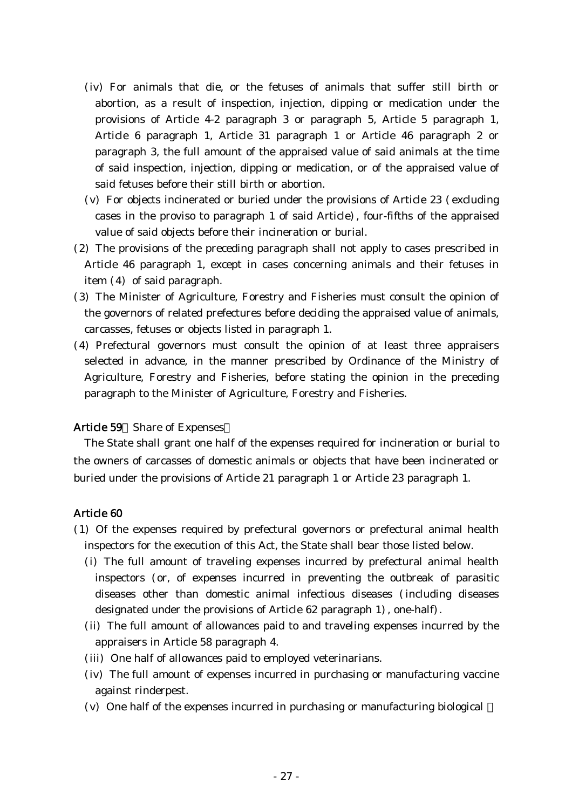- (iv) For animals that die, or the fetuses of animals that suffer still birth or abortion, as a result of inspection, injection, dipping or medication under the provisions of Article 4-2 paragraph 3 or paragraph 5, Article 5 paragraph 1, Article 6 paragraph 1, Article 31 paragraph 1 or Article 46 paragraph 2 or paragraph 3, the full amount of the appraised value of said animals at the time of said inspection, injection, dipping or medication, or of the appraised value of said fetuses before their still birth or abortion.
- ( $v$ ) For objects incinerated or buried under the provisions of Article 23 (excluding cases in the proviso to paragraph 1 of said Article), four-fifths of the appraised value of said objects before their incineration or burial.
- (2) The provisions of the preceding paragraph shall not apply to cases prescribed in Article 46 paragraph 1, except in cases concerning animals and their fetuses in item  $(4)$  of said paragraph.
- ( )3 The Minister of Agriculture, Forestry and Fisheries must consult the opinion of the governors of related prefectures before deciding the appraised value of animals, carcasses, fetuses or objects listed in paragraph 1.
- (4) Prefectural governors must consult the opinion of at least three appraisers selected in advance, in the manner prescribed by Ordinance of the Ministry of Agriculture, Forestry and Fisheries, before stating the opinion in the preceding paragraph to the Minister of Agriculture, Forestry and Fisheries.

## Article 59 Share of Expenses

The State shall grant one half of the expenses required for incineration or burial to the owners of carcasses of domestic animals or objects that have been incinerated or buried under the provisions of Article 21 paragraph 1 or Article 23 paragraph 1.

### Article 60

- ( )1 Of the expenses required by prefectural governors or prefectural animal health inspectors for the execution of this Act, the State shall bear those listed below.
	- (i) The full amount of traveling expenses incurred by prefectural animal health inspectors (or, of expenses incurred in preventing the outbreak of parasitic diseases other than domestic animal infectious diseases (including diseases designated under the provisions of Article 62 paragraph 1), one-half).
	- (ii) The full amount of allowances paid to and traveling expenses incurred by the appraisers in Article 58 paragraph 4.
	- (iii) One half of allowances paid to employed veterinarians.
	- (iv) The full amount of expenses incurred in purchasing or manufacturing vaccine against rinderpest.
	- $(v)$  One half of the expenses incurred in purchasing or manufacturing biological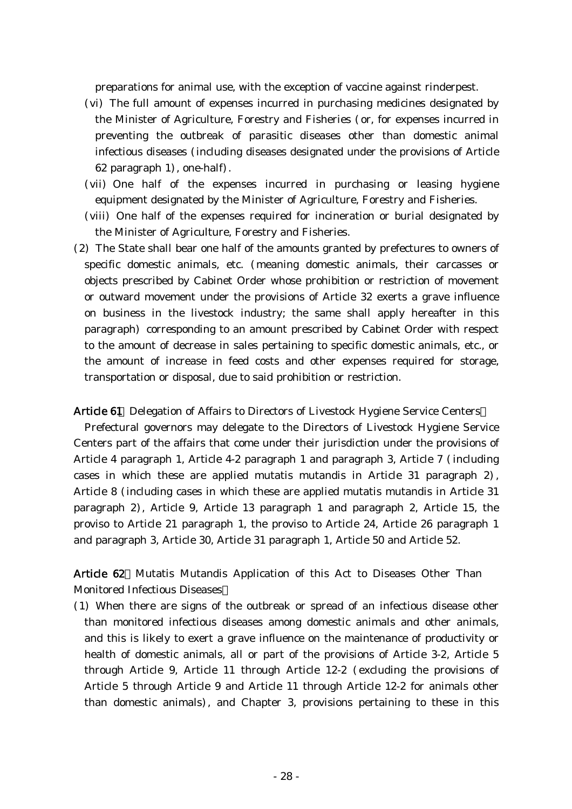preparations for animal use, with the exception of vaccine against rinderpest.

- (vi) The full amount of expenses incurred in purchasing medicines designated by the Minister of Agriculture, Forestry and Fisheries (or, for expenses incurred in preventing the outbreak of parasitic diseases other than domestic animal infectious diseases (including diseases designated under the provisions of Article 62 paragraph  $1)$ , one-half).
- (vii) One half of the expenses incurred in purchasing or leasing hygiene equipment designated by the Minister of Agriculture, Forestry and Fisheries.
- (viii) One half of the expenses required for incineration or burial designated by the Minister of Agriculture, Forestry and Fisheries.
- (2) The State shall bear one half of the amounts granted by prefectures to owners of specific domestic animals, etc. (meaning domestic animals, their carcasses or objects prescribed by Cabinet Order whose prohibition or restriction of movement or outward movement under the provisions of Article 32 exerts a grave influence on business in the livestock industry; the same shall apply hereafter in this paragraph) corresponding to an amount prescribed by Cabinet Order with respect to the amount of decrease in sales pertaining to specific domestic animals, etc., or the amount of increase in feed costs and other expenses required for storage, transportation or disposal, due to said prohibition or restriction.

Article 61 Delegation of Affairs to Directors of Livestock Hygiene Service Centers

Prefectural governors may delegate to the Directors of Livestock Hygiene Service Centers part of the affairs that come under their jurisdiction under the provisions of Article 4 paragraph 1, Article 4-2 paragraph 1 and paragraph 3, Article 7 (including cases in which these are applied mutatis mutandis in Article 31 paragraph 2), Article 8 (including cases in which these are applied mutatis mutandis in Article 31 paragraph 2), Article 9, Article 13 paragraph 1 and paragraph 2, Article 15, the proviso to Article 21 paragraph 1, the proviso to Article 24, Article 26 paragraph 1 and paragraph 3, Article 30, Article 31 paragraph 1, Article 50 and Article 52.

Article 62 Mutatis Mutandis Application of this Act to Diseases Other Than Monitored Infectious Diseases

( )1 When there are signs of the outbreak or spread of an infectious disease other than monitored infectious diseases among domestic animals and other animals, and this is likely to exert a grave influence on the maintenance of productivity or health of domestic animals, all or part of the provisions of Article 3-2, Article 5 through Article 9, Article 11 through Article  $12-2$  (excluding the provisions of Article 5 through Article 9 and Article 11 through Article 12-2 for animals other than domestic animals), and Chapter 3, provisions pertaining to these in this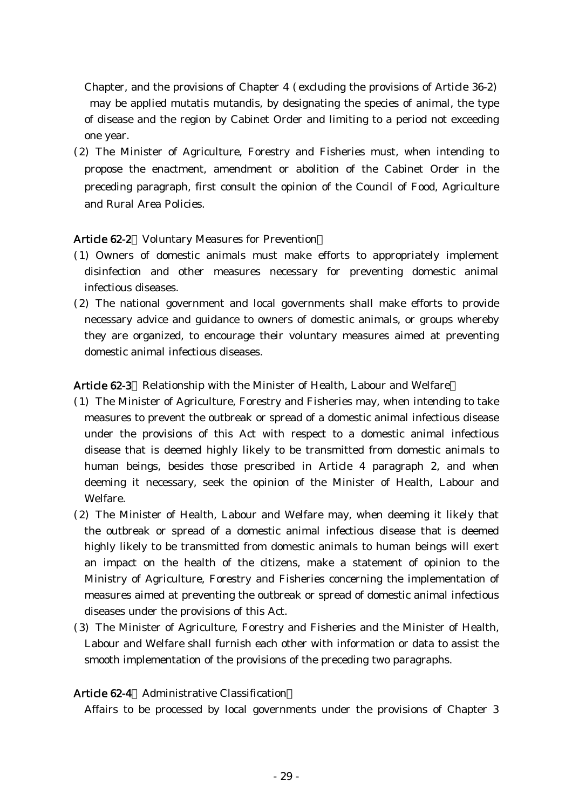Chapter, and the provisions of Chapter  $4$  (excluding the provisions of Article 36-2) may be applied mutatis mutandis, by designating the species of animal, the type of disease and the region by Cabinet Order and limiting to a period not exceeding one year.

(2) The Minister of Agriculture, Forestry and Fisheries must, when intending to propose the enactment, amendment or abolition of the Cabinet Order in the preceding paragraph, first consult the opinion of the Council of Food, Agriculture and Rural Area Policies.

## Article 62-2 Voluntary Measures for Prevention

- ( )1 Owners of domestic animals must make efforts to appropriately implement disinfection and other measures necessary for preventing domestic animal infectious diseases.
- (2) The national government and local governments shall make efforts to provide necessary advice and guidance to owners of domestic animals, or groups whereby they are organized, to encourage their voluntary measures aimed at preventing domestic animal infectious diseases.

### Article 62-3 Relationship with the Minister of Health, Labour and Welfare

- ( )1 The Minister of Agriculture, Forestry and Fisheries may, when intending to take measures to prevent the outbreak or spread of a domestic animal infectious disease under the provisions of this Act with respect to a domestic animal infectious disease that is deemed highly likely to be transmitted from domestic animals to human beings, besides those prescribed in Article 4 paragraph 2, and when deeming it necessary, seek the opinion of the Minister of Health, Labour and Welfare.
- (2) The Minister of Health, Labour and Welfare may, when deeming it likely that the outbreak or spread of a domestic animal infectious disease that is deemed highly likely to be transmitted from domestic animals to human beings will exert an impact on the health of the citizens, make a statement of opinion to the Ministry of Agriculture, Forestry and Fisheries concerning the implementation of measures aimed at preventing the outbreak or spread of domestic animal infectious diseases under the provisions of this Act.
- (3) The Minister of Agriculture, Forestry and Fisheries and the Minister of Health, Labour and Welfare shall furnish each other with information or data to assist the smooth implementation of the provisions of the preceding two paragraphs.

#### Article 62-4 Administrative Classification

Affairs to be processed by local governments under the provisions of Chapter 3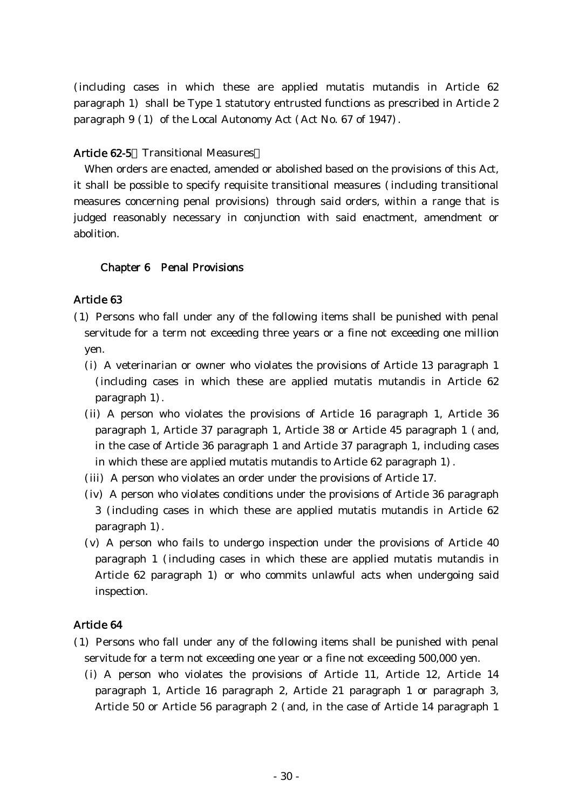(including cases in which these are applied mutatis mutandis in Article 62 paragraph 1) shall be Type 1 statutory entrusted functions as prescribed in Article 2 paragraph  $9(1)$  of the Local Autonomy Act (Act No. 67 of 1947).

### Article 62-5 Transitional Measures

When orders are enacted, amended or abolished based on the provisions of this Act, it shall be possible to specify requisite transitional measures (including transitional measures concerning penal provisions) through said orders, within a range that is judged reasonably necessary in conjunction with said enactment, amendment or abolition.

### Chapter 6 Penal Provisions

### Article 63

- ( )1 Persons who fall under any of the following items shall be punished with penal servitude for a term not exceeding three years or a fine not exceeding one million yen.
	- (i) A veterinarian or owner who violates the provisions of Article 13 paragraph  $1$ (including cases in which these are applied mutatis mutandis in Article 62  $paragraph 1$ .
	- (ii) A person who violates the provisions of Article 16 paragraph 1, Article 36 paragraph 1, Article 37 paragraph 1, Article 38 or Article 45 paragraph 1 (and, in the case of Article 36 paragraph 1 and Article 37 paragraph 1, including cases in which these are applied mutatis mutandis to Article 62 paragraph 1).
	- (iii) A person who violates an order under the provisions of Article 17.
	- $(iv)$  A person who violates conditions under the provisions of Article 36 paragraph 3 (including cases in which these are applied mutatis mutandis in Article 62 paragraph 1).
	- $(v)$  A person who fails to undergo inspection under the provisions of Article 40 paragraph 1 (including cases in which these are applied mutatis mutandis in Article 62 paragraph 1) or who commits unlawful acts when undergoing said inspection.

### Article 64

- ( )1 Persons who fall under any of the following items shall be punished with penal servitude for a term not exceeding one year or a fine not exceeding 500,000 yen.
	- (i) A person who violates the provisions of Article 11, Article 12, Article 14 paragraph 1, Article 16 paragraph 2, Article 21 paragraph 1 or paragraph 3, Article 50 or Article 56 paragraph 2 (and, in the case of Article 14 paragraph 1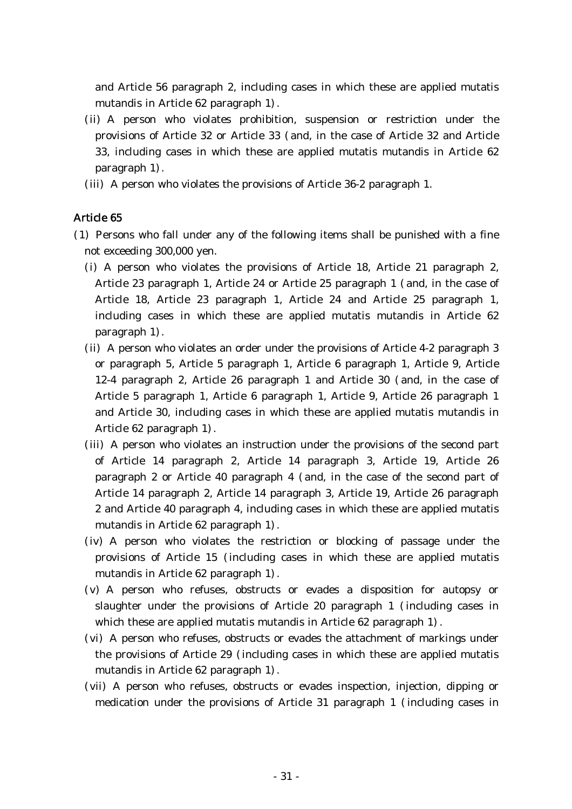and Article 56 paragraph 2, including cases in which these are applied mutatis mutandis in Article 62 paragraph 1).

- (ii) A person who violates prohibition, suspension or restriction under the provisions of Article 32 or Article 33 (and, in the case of Article 32 and Article 33, including cases in which these are applied mutatis mutandis in Article 62 paragraph 1).
- (iii) A person who violates the provisions of Article 36-2 paragraph 1.

## Article 65

- (1) Persons who fall under any of the following items shall be punished with a fine not exceeding 300,000 yen.
	- (i) A person who violates the provisions of Article 18, Article 21 paragraph 2, Article 23 paragraph 1, Article 24 or Article 25 paragraph 1 (and, in the case of Article 18, Article 23 paragraph 1, Article 24 and Article 25 paragraph 1, including cases in which these are applied mutatis mutandis in Article 62 paragraph 1).
	- $(i)$  A person who violates an order under the provisions of Article 4-2 paragraph 3 or paragraph 5, Article 5 paragraph 1, Article 6 paragraph 1, Article 9, Article 12-4 paragraph 2, Article 26 paragraph 1 and Article 30 (and, in the case of Article 5 paragraph 1, Article 6 paragraph 1, Article 9, Article 26 paragraph 1 and Article 30, including cases in which these are applied mutatis mutandis in Article 62 paragraph 1).
	- (iii) A person who violates an instruction under the provisions of the second part of Article 14 paragraph 2, Article 14 paragraph 3, Article 19, Article 26 paragraph 2 or Article 40 paragraph 4 (and, in the case of the second part of Article 14 paragraph 2, Article 14 paragraph 3, Article 19, Article 26 paragraph 2 and Article 40 paragraph 4, including cases in which these are applied mutatis mutandis in Article  $62$  paragraph  $1$ .
	- (iv) A person who violates the restriction or blocking of passage under the provisions of Article 15 (including cases in which these are applied mutatis mutandis in Article  $62$  paragraph  $1$ .
	- (v) A person who refuses, obstructs or evades a disposition for autopsy or slaughter under the provisions of Article 20 paragraph  $1$  (including cases in which these are applied mutatis mutandis in Article  $62$  paragraph  $1$ ).
	- (vi) A person who refuses, obstructs or evades the attachment of markings under the provisions of Article 29 (including cases in which these are applied mutatis mutandis in Article 62 paragraph 1).
	- (vii) A person who refuses, obstructs or evades inspection, injection, dipping or medication under the provisions of Article 31 paragraph  $1$  (including cases in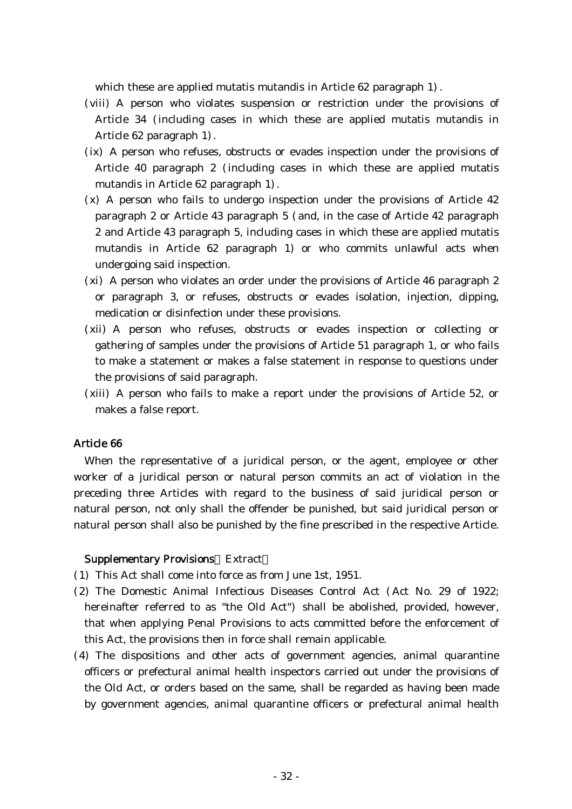which these are applied mutatis mutandis in Article  $62$  paragraph  $1$ ).

- (viii) A person who violates suspension or restriction under the provisions of Article 34 (including cases in which these are applied mutatis mutandis in Article 62 paragraph 1).
- (ix) A person who refuses, obstructs or evades inspection under the provisions of Article 40 paragraph 2 (including cases in which these are applied mutatis mutandis in Article 62 paragraph 1).
- $(x)$  A person who fails to undergo inspection under the provisions of Article 42 paragraph 2 or Article 43 paragraph  $5$  (and, in the case of Article 42 paragraph 2 and Article 43 paragraph 5, including cases in which these are applied mutatis mutandis in Article 62 paragraph 1) or who commits unlawful acts when undergoing said inspection.
- $(xi)$  A person who violates an order under the provisions of Article 46 paragraph 2 or paragraph 3, or refuses, obstructs or evades isolation, injection, dipping, medication or disinfection under these provisions.
- (xii) A person who refuses, obstructs or evades inspection or collecting or gathering of samples under the provisions of Article 51 paragraph 1, or who fails to make a statement or makes a false statement in response to questions under the provisions of said paragraph.
- (xiii) A person who fails to make a report under the provisions of Article 52, or makes a false report.

## Article 66

When the representative of a juridical person, or the agent, employee or other worker of a juridical person or natural person commits an act of violation in the preceding three Articles with regard to the business of said juridical person or natural person, not only shall the offender be punished, but said juridical person or natural person shall also be punished by the fine prescribed in the respective Article.

#### Supplementary Provisions Extract

- ( )1 This Act shall come into force as from June 1st, 1951.
- (2) The Domestic Animal Infectious Diseases Control Act (Act No. 29 of 1922; hereinafter referred to as "the Old Act") shall be abolished, provided, however, that when applying Penal Provisions to acts committed before the enforcement of this Act, the provisions then in force shall remain applicable.
- (4) The dispositions and other acts of government agencies, animal quarantine officers or prefectural animal health inspectors carried out under the provisions of the Old Act, or orders based on the same, shall be regarded as having been made by government agencies, animal quarantine officers or prefectural animal health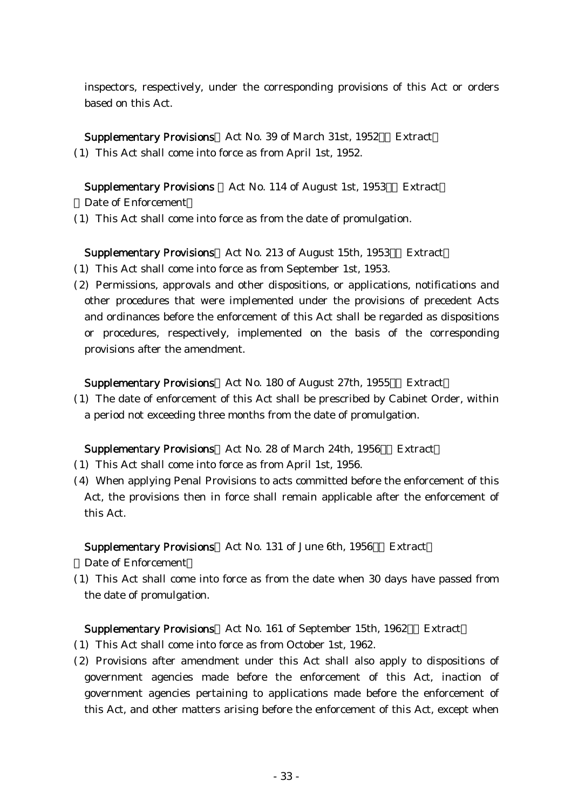inspectors, respectively, under the corresponding provisions of this Act or orders based on this Act.

Supplementary Provisions Act No. 39 of March 31st, 1952 Extract (1) This Act shall come into force as from April 1st, 1952.

Supplementary Provisions Act No. 114 of August 1st, 1953 Extract Date of Enforcement

(1) This Act shall come into force as from the date of promulgation.

Supplementary Provisions Act No. 213 of August 15th, 1953 Extract

- (1) This Act shall come into force as from September 1st, 1953.
- (2) Permissions, approvals and other dispositions, or applications, notifications and other procedures that were implemented under the provisions of precedent Acts and ordinances before the enforcement of this Act shall be regarded as dispositions or procedures, respectively, implemented on the basis of the corresponding provisions after the amendment.

Supplementary Provisions Act No. 180 of August 27th, 1955 Extract

( )1 The date of enforcement of this Act shall be prescribed by Cabinet Order, within a period not exceeding three months from the date of promulgation.

## Supplementary Provisions Act No. 28 of March 24th, 1956 Extract

- (1) This Act shall come into force as from April 1st, 1956.
- (4) When applying Penal Provisions to acts committed before the enforcement of this Act, the provisions then in force shall remain applicable after the enforcement of this Act.

Supplementary Provisions Act No. 131 of June 6th, 1956 Extract

Date of Enforcement

( )1 This Act shall come into force as from the date when 30 days have passed from the date of promulgation.

#### Supplementary Provisions Act No. 161 of September 15th, 1962 Extract

- ( )1 This Act shall come into force as from October 1st, 1962.
- (2) Provisions after amendment under this Act shall also apply to dispositions of government agencies made before the enforcement of this Act, inaction of government agencies pertaining to applications made before the enforcement of this Act, and other matters arising before the enforcement of this Act, except when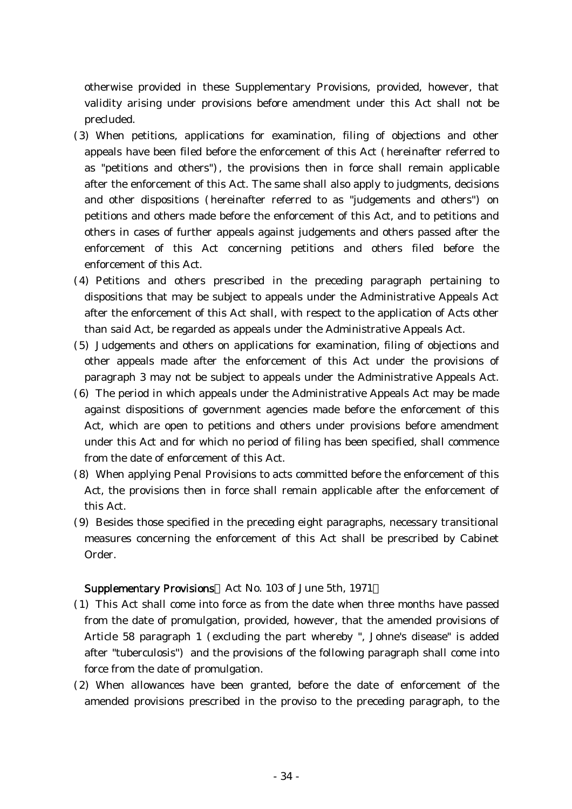otherwise provided in these Supplementary Provisions, provided, however, that validity arising under provisions before amendment under this Act shall not be precluded.

- (3) When petitions, applications for examination, filing of objections and other appeals have been filed before the enforcement of this Act (hereinafter referred to as "petitions and others"), the provisions then in force shall remain applicable after the enforcement of this Act. The same shall also apply to judgments, decisions and other dispositions (hereinafter referred to as "judgements and others") on petitions and others made before the enforcement of this Act, and to petitions and others in cases of further appeals against judgements and others passed after the enforcement of this Act concerning petitions and others filed before the enforcement of this Act.
- (4) Petitions and others prescribed in the preceding paragraph pertaining to dispositions that may be subject to appeals under the Administrative Appeals Act after the enforcement of this Act shall, with respect to the application of Acts other than said Act, be regarded as appeals under the Administrative Appeals Act.
- (5) Judgements and others on applications for examination, filing of objections and other appeals made after the enforcement of this Act under the provisions of paragraph 3 may not be subject to appeals under the Administrative Appeals Act.
- $(6)$  The period in which appeals under the Administrative Appeals Act may be made against dispositions of government agencies made before the enforcement of this Act, which are open to petitions and others under provisions before amendment under this Act and for which no period of filing has been specified, shall commence from the date of enforcement of this Act.
- (8) When applying Penal Provisions to acts committed before the enforcement of this Act, the provisions then in force shall remain applicable after the enforcement of this Act.
- (9) Besides those specified in the preceding eight paragraphs, necessary transitional measures concerning the enforcement of this Act shall be prescribed by Cabinet Order.

#### Supplementary Provisions Act No. 103 of June 5th, 1971

- ( )1 This Act shall come into force as from the date when three months have passed from the date of promulgation, provided, however, that the amended provisions of Article 58 paragraph 1 (excluding the part whereby ", Johne's disease" is added after "tuberculosis") and the provisions of the following paragraph shall come into force from the date of promulgation.
- (2) When allowances have been granted, before the date of enforcement of the amended provisions prescribed in the proviso to the preceding paragraph, to the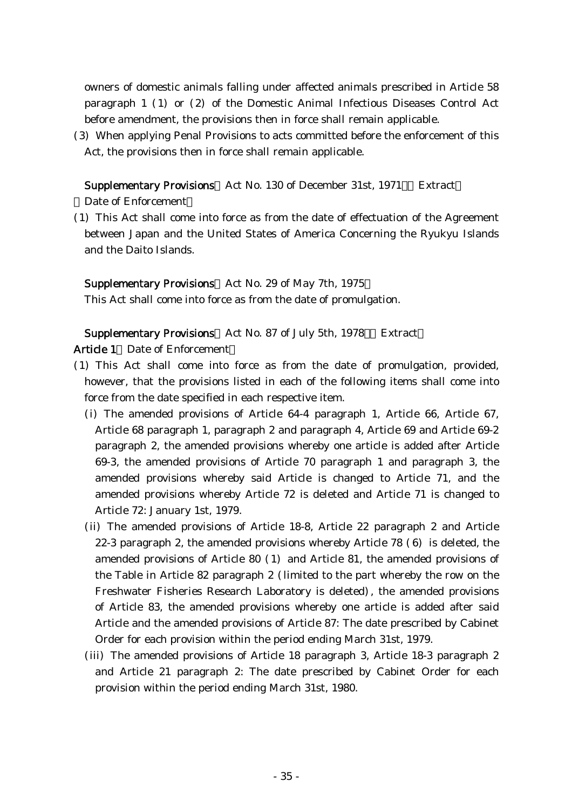owners of domestic animals falling under affected animals prescribed in Article 58 paragraph  $1$  (1) or (2) of the Domestic Animal Infectious Diseases Control Act before amendment, the provisions then in force shall remain applicable.

(3) When applying Penal Provisions to acts committed before the enforcement of this Act, the provisions then in force shall remain applicable.

Supplementary Provisions Act No. 130 of December 31st, 1971 Extract Date of Enforcement

(1) This Act shall come into force as from the date of effectuation of the Agreement between Japan and the United States of America Concerning the Ryukyu Islands and the Daito Islands.

Supplementary Provisions Act No. 29 of May 7th, 1975

This Act shall come into force as from the date of promulgation.

Supplementary Provisions Act No. 87 of July 5th, 1978 Extract

Article 1 Date of Enforcement

- ( )1 This Act shall come into force as from the date of promulgation, provided, however, that the provisions listed in each of the following items shall come into force from the date specified in each respective item.
	- (i) The amended provisions of Article 64-4 paragraph 1, Article 66, Article 67, Article 68 paragraph 1, paragraph 2 and paragraph 4, Article 69 and Article 69-2 paragraph 2, the amended provisions whereby one article is added after Article 69-3, the amended provisions of Article 70 paragraph 1 and paragraph 3, the amended provisions whereby said Article is changed to Article 71, and the amended provisions whereby Article 72 is deleted and Article 71 is changed to Article 72: January 1st, 1979.
	- (ii) The amended provisions of Article 18-8, Article 22 paragraph 2 and Article 22-3 paragraph 2, the amended provisions whereby Article  $78$  (6) is deleted, the amended provisions of Article  $80$  (1) and Article  $81$ , the amended provisions of the Table in Article 82 paragraph  $2$  (limited to the part whereby the row on the Freshwater Fisheries Research Laboratory is deleted), the amended provisions of Article 83, the amended provisions whereby one article is added after said Article and the amended provisions of Article 87: The date prescribed by Cabinet Order for each provision within the period ending March 31st, 1979.
	- (iii) The amended provisions of Article 18 paragraph 3, Article 18-3 paragraph 2 and Article 21 paragraph 2: The date prescribed by Cabinet Order for each provision within the period ending March 31st, 1980.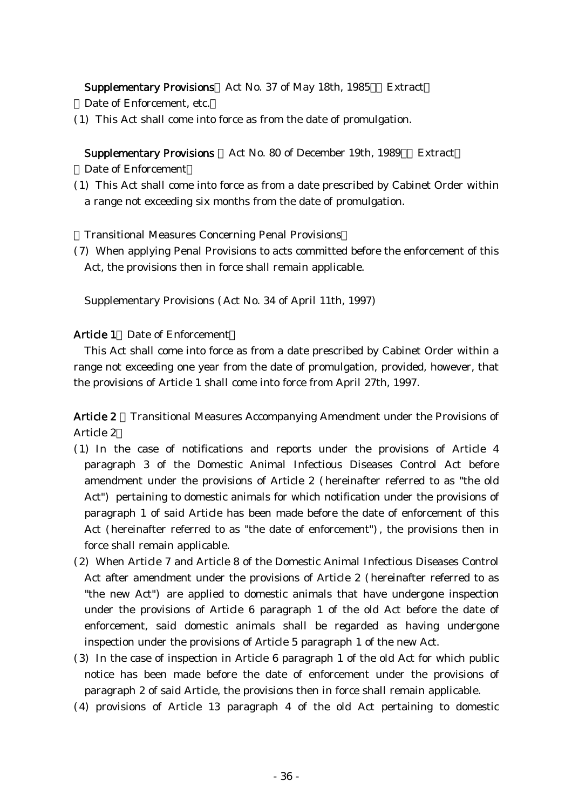Supplementary Provisions Act No. 37 of May 18th, 1985 Extract

Date of Enforcement, etc.

(1) This Act shall come into force as from the date of promulgation.

Supplementary Provisions Act No. 80 of December 19th, 1989 Extract Date of Enforcement

(1) This Act shall come into force as from a date prescribed by Cabinet Order within a range not exceeding six months from the date of promulgation.

**Transitional Measures Concerning Penal Provisions** 

(7) When applying Penal Provisions to acts committed before the enforcement of this Act, the provisions then in force shall remain applicable.

Supplementary Provisions (Act No. 34 of April 11th, 1997)

## Article 1 Date of Enforcement

This Act shall come into force as from a date prescribed by Cabinet Order within a range not exceeding one year from the date of promulgation, provided, however, that the provisions of Article 1 shall come into force from April 27th, 1997.

Article 2 Transitional Measures Accompanying Amendment under the Provisions of Article 2

- ( )1 In the case of notifications and reports under the provisions of Article 4 paragraph 3 of the Domestic Animal Infectious Diseases Control Act before amendment under the provisions of Article 2 (hereinafter referred to as "the old Act") pertaining to domestic animals for which notification under the provisions of paragraph 1 of said Article has been made before the date of enforcement of this Act (hereinafter referred to as "the date of enforcement"), the provisions then in force shall remain applicable.
- (2) When Article 7 and Article 8 of the Domestic Animal Infectious Diseases Control Act after amendment under the provisions of Article 2 (hereinafter referred to as "the new Act" are applied to domestic animals that have undergone inspection under the provisions of Article 6 paragraph 1 of the old Act before the date of enforcement, said domestic animals shall be regarded as having undergone inspection under the provisions of Article 5 paragraph 1 of the new Act.
- $(3)$  In the case of inspection in Article 6 paragraph 1 of the old Act for which public notice has been made before the date of enforcement under the provisions of paragraph 2 of said Article, the provisions then in force shall remain applicable.
- $(4)$  provisions of Article 13 paragraph 4 of the old Act pertaining to domestic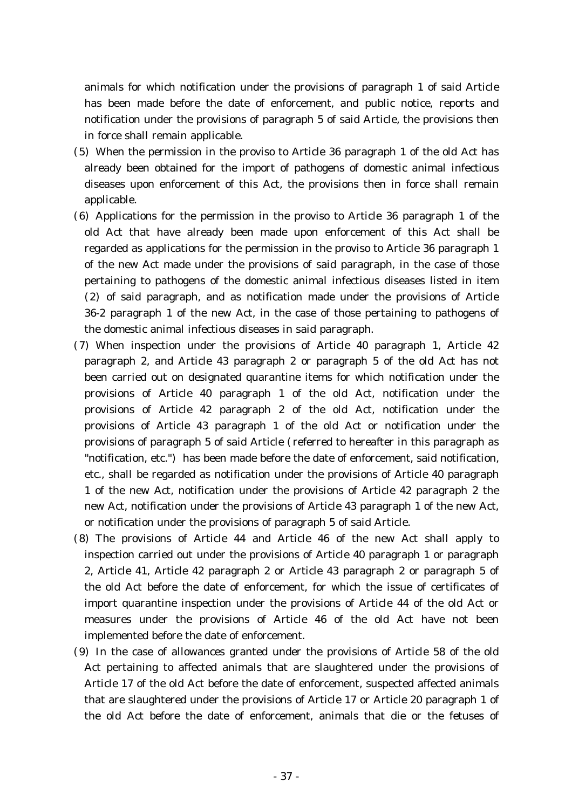animals for which notification under the provisions of paragraph 1 of said Article has been made before the date of enforcement, and public notice, reports and notification under the provisions of paragraph 5 of said Article, the provisions then in force shall remain applicable.

- (5) When the permission in the proviso to Article 36 paragraph 1 of the old Act has already been obtained for the import of pathogens of domestic animal infectious diseases upon enforcement of this Act, the provisions then in force shall remain applicable.
- $(6)$  Applications for the permission in the proviso to Article 36 paragraph 1 of the old Act that have already been made upon enforcement of this Act shall be regarded as applications for the permission in the proviso to Article 36 paragraph 1 of the new Act made under the provisions of said paragraph, in the case of those pertaining to pathogens of the domestic animal infectious diseases listed in item  $(2)$  of said paragraph, and as notification made under the provisions of Article 36-2 paragraph 1 of the new Act, in the case of those pertaining to pathogens of the domestic animal infectious diseases in said paragraph.
- (7) When inspection under the provisions of Article 40 paragraph 1, Article 42 paragraph 2, and Article 43 paragraph 2 or paragraph 5 of the old Act has not been carried out on designated quarantine items for which notification under the provisions of Article 40 paragraph 1 of the old Act, notification under the provisions of Article 42 paragraph 2 of the old Act, notification under the provisions of Article 43 paragraph 1 of the old Act or notification under the provisions of paragraph 5 of said Article ( referred to hereafter in this paragraph as "notification, etc.") has been made before the date of enforcement, said notification, etc., shall be regarded as notification under the provisions of Article 40 paragraph 1 of the new Act, notification under the provisions of Article 42 paragraph 2 the new Act, notification under the provisions of Article 43 paragraph 1 of the new Act, or notification under the provisions of paragraph 5 of said Article.
- (8) The provisions of Article 44 and Article 46 of the new Act shall apply to inspection carried out under the provisions of Article 40 paragraph 1 or paragraph 2, Article 41, Article 42 paragraph 2 or Article 43 paragraph 2 or paragraph 5 of the old Act before the date of enforcement, for which the issue of certificates of import quarantine inspection under the provisions of Article 44 of the old Act or measures under the provisions of Article 46 of the old Act have not been implemented before the date of enforcement.
- (9) In the case of allowances granted under the provisions of Article 58 of the old Act pertaining to affected animals that are slaughtered under the provisions of Article 17 of the old Act before the date of enforcement, suspected affected animals that are slaughtered under the provisions of Article 17 or Article 20 paragraph 1 of the old Act before the date of enforcement, animals that die or the fetuses of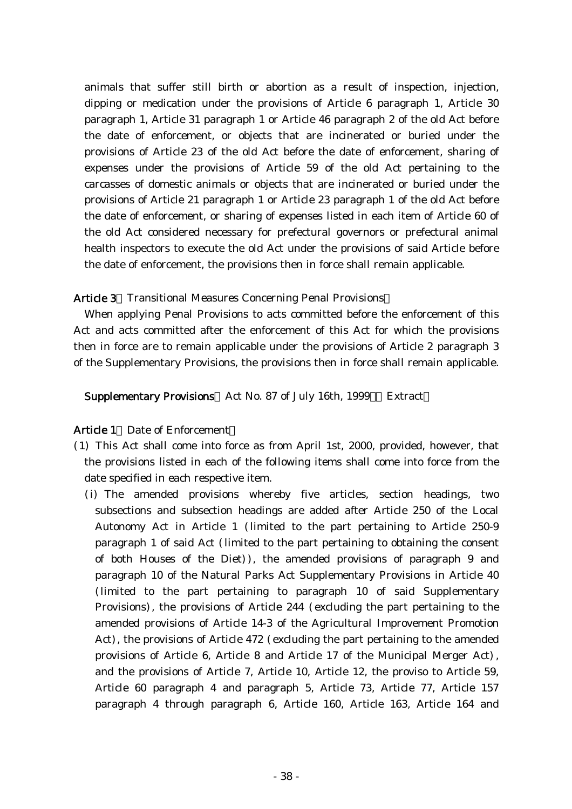animals that suffer still birth or abortion as a result of inspection, injection, dipping or medication under the provisions of Article 6 paragraph 1, Article 30 paragraph 1, Article 31 paragraph 1 or Article 46 paragraph 2 of the old Act before the date of enforcement, or objects that are incinerated or buried under the provisions of Article 23 of the old Act before the date of enforcement, sharing of expenses under the provisions of Article 59 of the old Act pertaining to the carcasses of domestic animals or objects that are incinerated or buried under the provisions of Article 21 paragraph 1 or Article 23 paragraph 1 of the old Act before the date of enforcement, or sharing of expenses listed in each item of Article 60 of the old Act considered necessary for prefectural governors or prefectural animal health inspectors to execute the old Act under the provisions of said Article before the date of enforcement, the provisions then in force shall remain applicable.

## Article 3 Transitional Measures Concerning Penal Provisions

When applying Penal Provisions to acts committed before the enforcement of this Act and acts committed after the enforcement of this Act for which the provisions then in force are to remain applicable under the provisions of Article 2 paragraph 3 of the Supplementary Provisions, the provisions then in force shall remain applicable.

Supplementary Provisions Act No. 87 of July 16th, 1999 Extract

## Article 1 Date of Enforcement

- ( )1 This Act shall come into force as from April 1st, 2000, provided, however, that the provisions listed in each of the following items shall come into force from the date specified in each respective item.
	- (i) The amended provisions whereby five articles, section headings, two subsections and subsection headings are added after Article 250 of the Local Autonomy Act in Article 1 (limited to the part pertaining to Article 250-9 paragraph 1 of said Act (limited to the part pertaining to obtaining the consent of both Houses of the Diet $)$ , the amended provisions of paragraph 9 and paragraph 10 of the Natural Parks Act Supplementary Provisions in Article 40 (limited to the part pertaining to paragraph 10 of said Supplementary Provisions), the provisions of Article 244 (excluding the part pertaining to the amended provisions of Article 14-3 of the Agricultural Improvement Promotion Act), the provisions of Article 472 (excluding the part pertaining to the amended provisions of Article 6, Article 8 and Article 17 of the Municipal Merger Act), and the provisions of Article 7, Article 10, Article 12, the proviso to Article 59, Article 60 paragraph 4 and paragraph 5, Article 73, Article 77, Article 157 paragraph 4 through paragraph 6, Article 160, Article 163, Article 164 and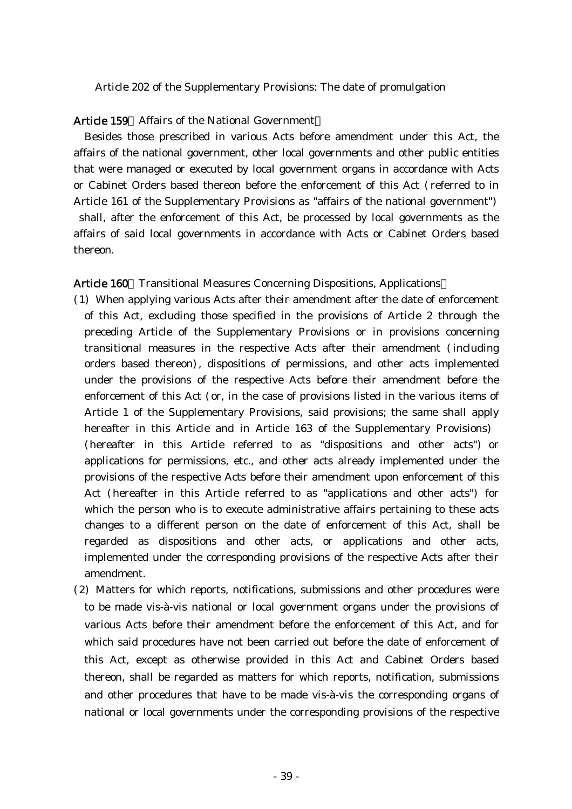Article 202 of the Supplementary Provisions: The date of promulgation

### Article 159 Affairs of the National Government

Besides those prescribed in various Acts before amendment under this Act, the affairs of the national government, other local governments and other public entities that were managed or executed by local government organs in accordance with Acts or Cabinet Orders based thereon before the enforcement of this Act (referred to in Article 161 of the Supplementary Provisions as "affairs of the national government") shall, after the enforcement of this Act, be processed by local governments as the affairs of said local governments in accordance with Acts or Cabinet Orders based thereon.

#### Article 160 Transitional Measures Concerning Dispositions, Applications

- ( )1 When applying various Acts after their amendment after the date of enforcement of this Act, excluding those specified in the provisions of Article 2 through the preceding Article of the Supplementary Provisions or in provisions concerning transitional measures in the respective Acts after their amendment (including orders based thereon), dispositions of permissions, and other acts implemented under the provisions of the respective Acts before their amendment before the enforcement of this Act (or, in the case of provisions listed in the various items of Article 1 of the Supplementary Provisions, said provisions; the same shall apply hereafter in this Article and in Article 163 of the Supplementary Provisions) (hereafter in this Article referred to as "dispositions and other acts") or applications for permissions, etc., and other acts already implemented under the provisions of the respective Acts before their amendment upon enforcement of this Act (hereafter in this Article referred to as "applications and other acts") for which the person who is to execute administrative affairs pertaining to these acts changes to a different person on the date of enforcement of this Act, shall be regarded as dispositions and other acts, or applications and other acts, implemented under the corresponding provisions of the respective Acts after their amendment.
- (2) Matters for which reports, notifications, submissions and other procedures were to be made vis-à-vis national or local government organs under the provisions of various Acts before their amendment before the enforcement of this Act, and for which said procedures have not been carried out before the date of enforcement of this Act, except as otherwise provided in this Act and Cabinet Orders based thereon, shall be regarded as matters for which reports, notification, submissions and other procedures that have to be made vis-à-vis the corresponding organs of national or local governments under the corresponding provisions of the respective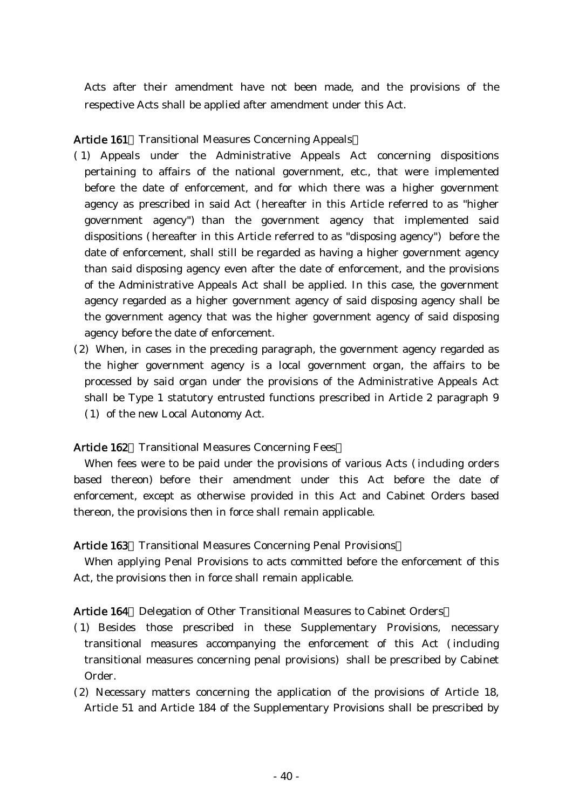Acts after their amendment have not been made, and the provisions of the respective Acts shall be applied after amendment under this Act.

## Article 161 Transitional Measures Concerning Appeals

- ( )1 Appeals under the Administrative Appeals Act concerning dispositions pertaining to affairs of the national government, etc., that were implemented before the date of enforcement, and for which there was a higher government agency as prescribed in said Act (hereafter in this Article referred to as "higher government agency") than the government agency that implemented said dispositions (hereafter in this Article referred to as "disposing agency") before the date of enforcement, shall still be regarded as having a higher government agency than said disposing agency even after the date of enforcement, and the provisions of the Administrative Appeals Act shall be applied. In this case, the government agency regarded as a higher government agency of said disposing agency shall be the government agency that was the higher government agency of said disposing agency before the date of enforcement.
- $(2)$  When, in cases in the preceding paragraph, the government agency regarded as the higher government agency is a local government organ, the affairs to be processed by said organ under the provisions of the Administrative Appeals Act shall be Type 1 statutory entrusted functions prescribed in Article 2 paragraph 9 (1) of the new Local Autonomy Act.

## Article 162 Transitional Measures Concerning Fees

When fees were to be paid under the provisions of various Acts (including orders based thereon) before their amendment under this Act before the date of enforcement, except as otherwise provided in this Act and Cabinet Orders based thereon, the provisions then in force shall remain applicable.

## Article 163 Transitional Measures Concerning Penal Provisions

When applying Penal Provisions to acts committed before the enforcement of this Act, the provisions then in force shall remain applicable.

## Article 164 Delegation of Other Transitional Measures to Cabinet Orders

- ( )1 Besides those prescribed in these Supplementary Provisions, necessary transitional measures accompanying the enforcement of this Act (including transitional measures concerning penal provisions) shall be prescribed by Cabinet Order.
- (2) Necessary matters concerning the application of the provisions of Article 18, Article 51 and Article 184 of the Supplementary Provisions shall be prescribed by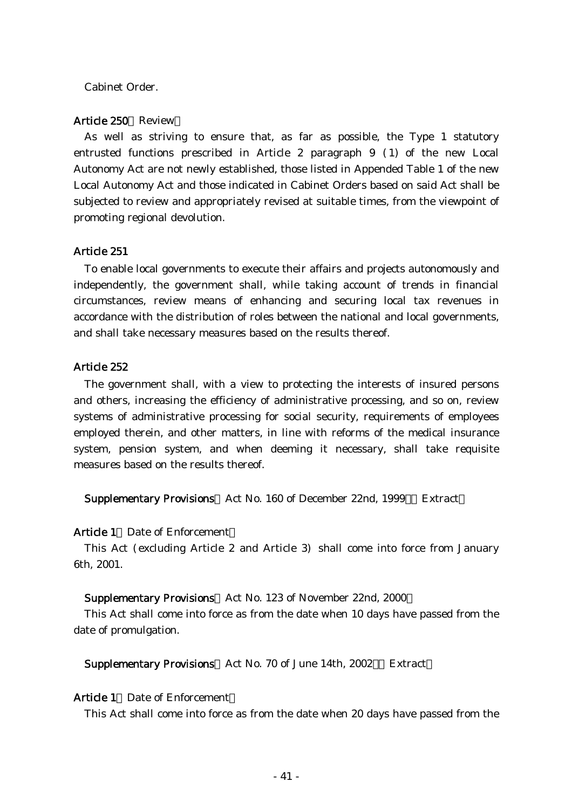### Cabinet Order.

#### Article 250 Review

As well as striving to ensure that, as far as possible, the Type 1 statutory entrusted functions prescribed in Article 2 paragraph  $9$  (1) of the new Local Autonomy Act are not newly established, those listed in Appended Table 1 of the new Local Autonomy Act and those indicated in Cabinet Orders based on said Act shall be subjected to review and appropriately revised at suitable times, from the viewpoint of promoting regional devolution.

#### Article 251

To enable local governments to execute their affairs and projects autonomously and independently, the government shall, while taking account of trends in financial circumstances, review means of enhancing and securing local tax revenues in accordance with the distribution of roles between the national and local governments, and shall take necessary measures based on the results thereof.

#### Article 252

The government shall, with a view to protecting the interests of insured persons and others, increasing the efficiency of administrative processing, and so on, review systems of administrative processing for social security, requirements of employees employed therein, and other matters, in line with reforms of the medical insurance system, pension system, and when deeming it necessary, shall take requisite measures based on the results thereof.

Supplementary Provisions Act No. 160 of December 22nd, 1999 Extract

#### Article 1 Date of Enforcement

This Act (excluding Article 2 and Article 3) shall come into force from January 6th, 2001.

#### Supplementary Provisions Act No. 123 of November 22nd, 2000

This Act shall come into force as from the date when 10 days have passed from the date of promulgation.

Supplementary Provisions Act No. 70 of June 14th, 2002 Extract

#### Article 1 Date of Enforcement

This Act shall come into force as from the date when 20 days have passed from the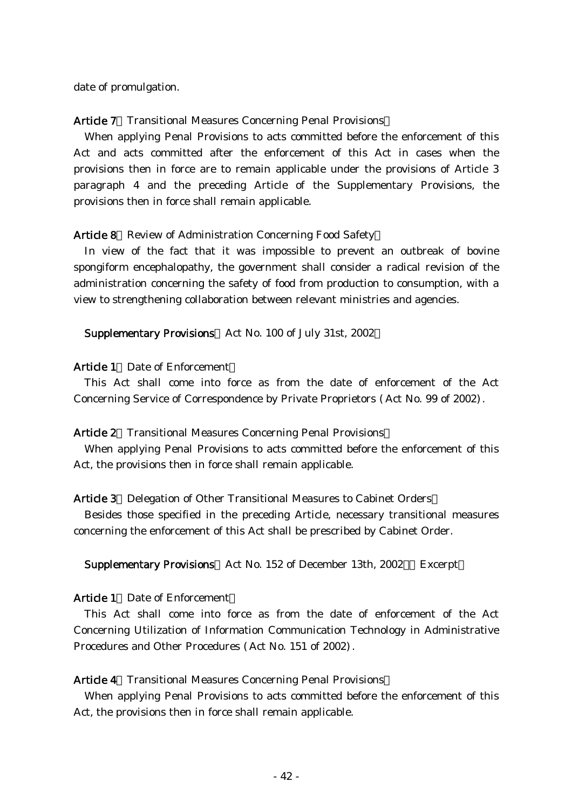date of promulgation.

#### Article 7 Transitional Measures Concerning Penal Provisions

When applying Penal Provisions to acts committed before the enforcement of this Act and acts committed after the enforcement of this Act in cases when the provisions then in force are to remain applicable under the provisions of Article 3 paragraph 4 and the preceding Article of the Supplementary Provisions, the provisions then in force shall remain applicable.

#### Article 8 Review of Administration Concerning Food Safety

In view of the fact that it was impossible to prevent an outbreak of bovine spongiform encephalopathy, the government shall consider a radical revision of the administration concerning the safety of food from production to consumption, with a view to strengthening collaboration between relevant ministries and agencies.

#### Supplementary Provisions Act No. 100 of July 31st, 2002

#### Article 1 Date of Enforcement

This Act shall come into force as from the date of enforcement of the Act Concerning Service of Correspondence by Private Proprietors (Act No. 99 of 2002).

#### Article 2 Transitional Measures Concerning Penal Provisions

When applying Penal Provisions to acts committed before the enforcement of this Act, the provisions then in force shall remain applicable.

#### Article 3 Delegation of Other Transitional Measures to Cabinet Orders

Besides those specified in the preceding Article, necessary transitional measures concerning the enforcement of this Act shall be prescribed by Cabinet Order.

#### Supplementary Provisions Act No. 152 of December 13th, 2002 Excerpt

#### Article 1 Date of Enforcement

This Act shall come into force as from the date of enforcement of the Act Concerning Utilization of Information Communication Technology in Administrative Procedures and Other Procedures (Act No. 151 of 2002).

### Article 4 Transitional Measures Concerning Penal Provisions

When applying Penal Provisions to acts committed before the enforcement of this Act, the provisions then in force shall remain applicable.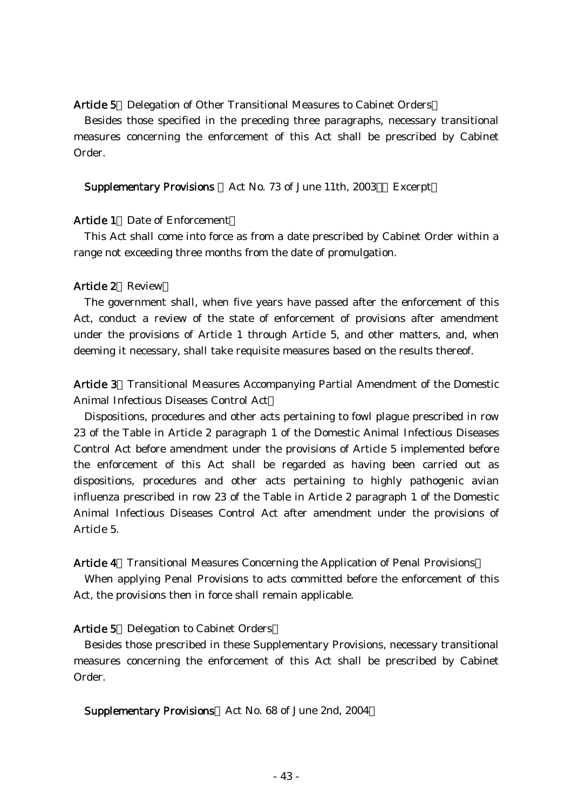#### Article 5 Delegation of Other Transitional Measures to Cabinet Orders

Besides those specified in the preceding three paragraphs, necessary transitional measures concerning the enforcement of this Act shall be prescribed by Cabinet Order.

Supplementary Provisions Act No. 73 of June 11th, 2003 Excerpt

### Article 1 Date of Enforcement

This Act shall come into force as from a date prescribed by Cabinet Order within a range not exceeding three months from the date of promulgation.

#### Article 2 Review

The government shall, when five years have passed after the enforcement of this Act, conduct a review of the state of enforcement of provisions after amendment under the provisions of Article 1 through Article 5, and other matters, and, when deeming it necessary, shall take requisite measures based on the results thereof.

Article 3 Transitional Measures Accompanying Partial Amendment of the Domestic Animal Infectious Diseases Control Act

Dispositions, procedures and other acts pertaining to fowl plague prescribed in row 23 of the Table in Article 2 paragraph 1 of the Domestic Animal Infectious Diseases Control Act before amendment under the provisions of Article 5 implemented before the enforcement of this Act shall be regarded as having been carried out as dispositions, procedures and other acts pertaining to highly pathogenic avian influenza prescribed in row 23 of the Table in Article 2 paragraph 1 of the Domestic Animal Infectious Diseases Control Act after amendment under the provisions of Article 5.

#### Article 4 Transitional Measures Concerning the Application of Penal Provisions

When applying Penal Provisions to acts committed before the enforcement of this Act, the provisions then in force shall remain applicable.

#### Article 5 Delegation to Cabinet Orders

Besides those prescribed in these Supplementary Provisions, necessary transitional measures concerning the enforcement of this Act shall be prescribed by Cabinet Order.

Supplementary Provisions Act No. 68 of June 2nd, 2004